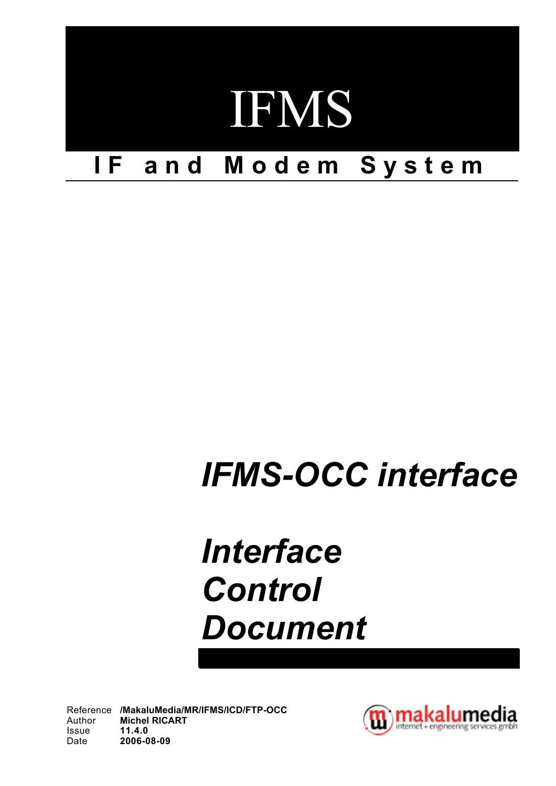

# *IFMS-OCC interface*

# *Interface Control Document*

Reference **/MakaluMedia/MR/IFMS/ICD/FTP-OCC** Author **Michel RICART** Issue **11.4.0** Date **2006-08-09**

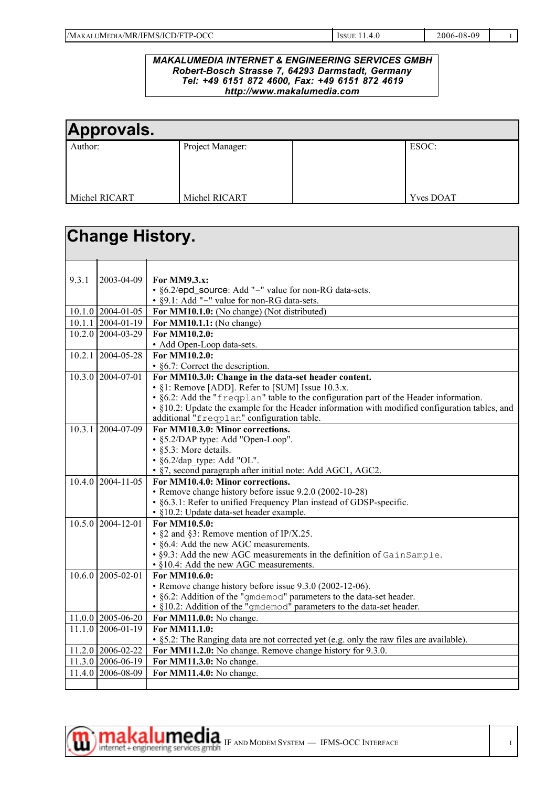| /MAK<br>?-OCC<br>/MR/IFMS/ICD/FTP-<br><b>LUMEDIA</b><br>__ | <b>CCLIL</b> | 2006-08-0<br>۵۵ |  |
|------------------------------------------------------------|--------------|-----------------|--|

#### *MAKALUMEDIA INTERNET & ENGINEERING SERVICES GMBH Robert-Bosch Strasse 7, 64293 Darmstadt, Germany Tel: +49 6151 872 4600, Fax: +49 6151 872 4619 http://www.makalumedia.com*

| Approvals.    |                  |                  |
|---------------|------------------|------------------|
| Author:       | Project Manager: | ESOC:            |
| Michel RICART | Michel RICART    | <b>Yves DOAT</b> |

|       | <b>Change History.</b> |                                                                                                                 |
|-------|------------------------|-----------------------------------------------------------------------------------------------------------------|
| 9.3.1 | 2003-04-09             | For MM9.3.x:                                                                                                    |
|       |                        | • §6.2/epd_source: Add "-" value for non-RG data-sets.                                                          |
|       |                        | • §9.1: Add "-" value for non-RG data-sets.                                                                     |
|       | $10.1.0$ 2004-01-05    | For MM10.1.0: (No change) (Not distributed)                                                                     |
|       | $10.1.1$   2004-01-19  | For MM10.1.1: (No change)                                                                                       |
|       | 10.2.0 2004-03-29      | For MM10.2.0:<br>• Add Open-Loop data-sets.                                                                     |
|       | $10.2.1$ 2004-05-28    | For MM10.2.0:                                                                                                   |
|       |                        | • §6.7: Correct the description.                                                                                |
|       | 10.3.0 2004-07-01      | For MM10.3.0: Change in the data-set header content.                                                            |
|       |                        | • §1: Remove [ADD]. Refer to [SUM] Issue 10.3.x.                                                                |
|       |                        | • §6.2: Add the "frequation" table to the configuration part of the Header information.                         |
|       |                        | • §10.2: Update the example for the Header information with modified configuration tables, and                  |
|       | 10.3.1 2004-07-09      | additional "freqplan" configuration table.<br>For MM10.3.0: Minor corrections.                                  |
|       |                        | • §5.2/DAP type: Add "Open-Loop".                                                                               |
|       |                        | • §5.3: More details.                                                                                           |
|       |                        | $\cdot$ §6.2/dap type: Add "OL".                                                                                |
|       |                        | • §7, second paragraph after initial note: Add AGC1, AGC2.                                                      |
|       | $10.4.0$ 2004-11-05    | For MM10.4.0: Minor corrections.                                                                                |
|       |                        | • Remove change history before issue 9.2.0 (2002-10-28)                                                         |
|       |                        | • §6.3.1: Refer to unified Frequency Plan instead of GDSP-specific.                                             |
|       |                        | • §10.2: Update data-set header example.                                                                        |
|       | $10.5.0$ 2004-12-01    | For MM10.5.0:                                                                                                   |
|       |                        | • $\S$ 2 and $\S$ 3: Remove mention of IP/X.25.                                                                 |
|       |                        | • §6.4: Add the new AGC measurements.                                                                           |
|       |                        | • §9.3: Add the new AGC measurements in the definition of GainSample.<br>• §10.4: Add the new AGC measurements. |
|       | $10.6.0$ 2005-02-01    | For MM10.6.0:                                                                                                   |
|       |                        | • Remove change history before issue 9.3.0 (2002-12-06).                                                        |
|       |                        | · §6.2: Addition of the "gmdemod" parameters to the data-set header.                                            |
|       |                        | • §10.2: Addition of the "gmdemod" parameters to the data-set header.                                           |
|       | $11.0.0$ 2005-06-20    | For MM11.0.0: No change.                                                                                        |
|       | 11.1.0 2006-01-19      | For MM11.1.0:                                                                                                   |
|       |                        | • $\S$ 5.2: The Ranging data are not corrected yet (e.g. only the raw files are available).                     |
|       | 11.2.0 2006-02-22      | For MM11.2.0: No change. Remove change history for 9.3.0.                                                       |
|       | 11.3.0 2006-06-19      | For MM11.3.0: No change.                                                                                        |
|       | 11.4.0 2006-08-09      | For MM11.4.0: No change.                                                                                        |
|       |                        |                                                                                                                 |

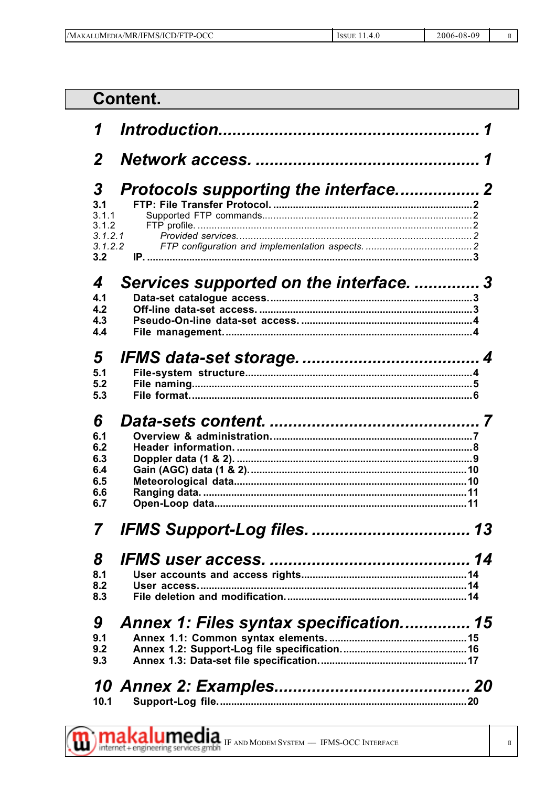| /MAKALUMEDIA/.<br>\/MR/IFMS/ICD/FTP-OCC | <b>ICCLIL</b><br>155UE. | 2006-08-09 |  |
|-----------------------------------------|-------------------------|------------|--|

#### **Content.** 1  $\boldsymbol{\mathcal{P}}$ Protocols supporting the interface.................. 2 3  $3.1$  $3.1.1$  $3.1.2$  $3.1.2.1$  $3.1.2.2$  $3.2$ Services supported on the interface. .............. 3  $\boldsymbol{\varDelta}$  $4.1$  $4.2$ 4.3  $4.4$ 5  $5.1$  $5.2$  $5.3$ 6  $6.1$  $6.2$ 6.3 6.4 6.5 6.6 6.7 7 8  $8.1$  $8.2$  $8.3$

#### Annex 1: Files syntax specification............... 15 9

| 9.1 |  |
|-----|--|
| 9.2 |  |
| 9.3 |  |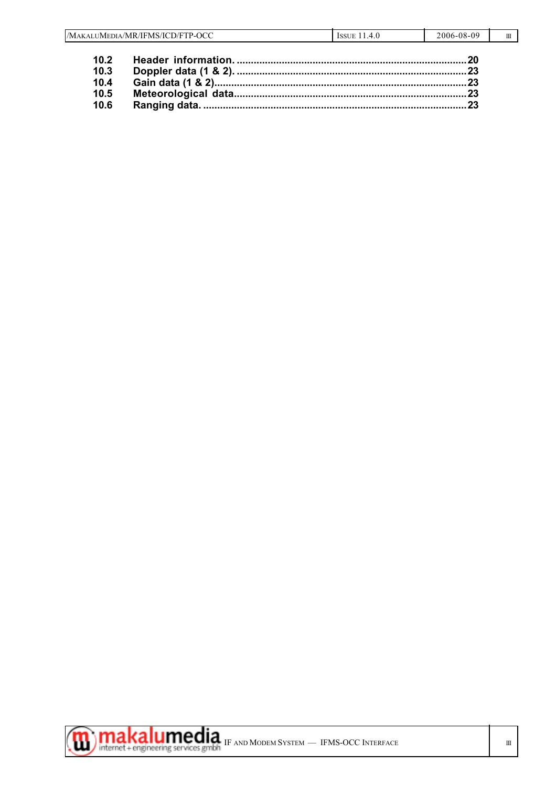|      | /MAKALUMEDIA/MR/IFMS/ICD/FTP-OCC | ISSUE $11.4.0$ | 2006-08-09 | $\mathbf{H}$ |
|------|----------------------------------|----------------|------------|--------------|
| 10.2 |                                  |                |            |              |
| 10.3 |                                  |                |            |              |
| 10.4 |                                  |                |            |              |
| 10.5 |                                  |                |            |              |
| 10.6 |                                  |                |            |              |



 $\mathcal{L}_{\mathcal{A}}$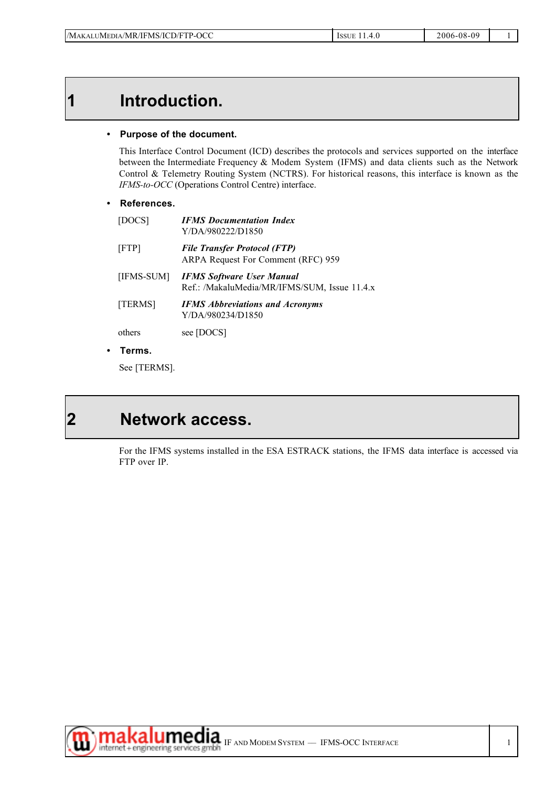## **1 Introduction.**

#### **• Purpose of the document.**

This Interface Control Document (ICD) describes the protocols and services supported on the interface between the Intermediate Frequency & Modem System (IFMS) and data clients such as the Network Control & Telemetry Routing System (NCTRS). For historical reasons, this interface is known as the *IFMS-to-OCC* (Operations Control Centre) interface.

#### **• References.**

| [DOCS]     | <b>IFMS</b> Documentation Index<br>Y/DA/980222/D1850                             |
|------------|----------------------------------------------------------------------------------|
| [FTP]      | <b>File Transfer Protocol (FTP)</b><br>ARPA Request For Comment (RFC) 959        |
| [IFMS-SUM] | <b>IFMS Software User Manual</b><br>Ref.: /MakaluMedia/MR/IFMS/SUM, Issue 11.4.x |
| [TERMS]    | <b>IFMS Abbreviations and Acronyms</b><br>Y/DA/980234/D1850                      |
| others     | see [DOCS]                                                                       |

**• Terms.**

See [TERMS].

## **2 Network access.**

For the IFMS systems installed in the ESA ESTRACK stations, the IFMS data interface is accessed via FTP over IP.

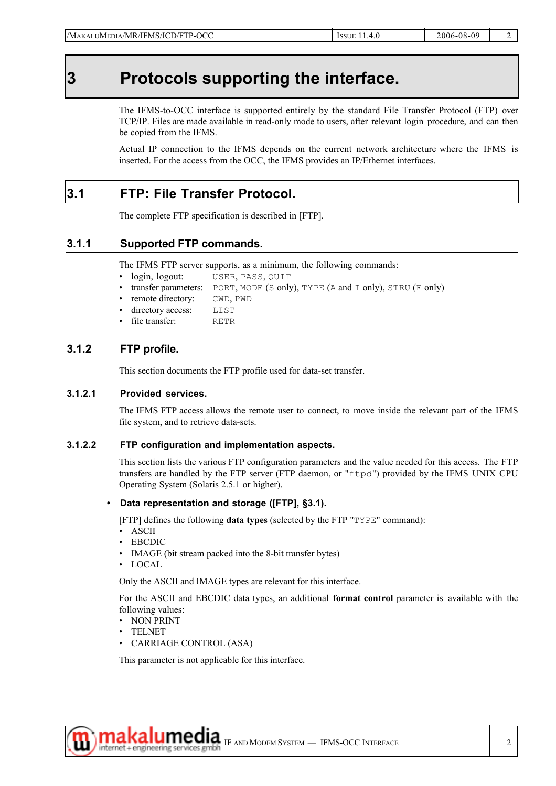## **3 Protocols supporting the interface.**

The IFMS-to-OCC interface is supported entirely by the standard File Transfer Protocol (FTP) over TCP/IP. Files are made available in read-only mode to users, after relevant login procedure, and can then be copied from the IFMS.

Actual IP connection to the IFMS depends on the current network architecture where the IFMS is inserted. For the access from the OCC, the IFMS provides an IP/Ethernet interfaces.

### **3.1 FTP: File Transfer Protocol.**

The complete FTP specification is described in [FTP].

### **3.1.1 Supported FTP commands.**

The IFMS FTP server supports, as a minimum, the following commands:

- login, logout: USER, PASS, QUIT
- transfer parameters: PORT, MODE (S only), TYPE (A and I only), STRU (F only)
- remote directory: CWD, PWD
- directory access: LIST
- file transfer: RETR

### **3.1.2 FTP profile.**

This section documents the FTP profile used for data-set transfer.

#### **3.1.2.1 Provided services.**

The IFMS FTP access allows the remote user to connect, to move inside the relevant part of the IFMS file system, and to retrieve data-sets.

#### **3.1.2.2 FTP configuration and implementation aspects.**

This section lists the various FTP configuration parameters and the value needed for this access. The FTP transfers are handled by the FTP server (FTP daemon, or "ftpd") provided by the IFMS UNIX CPU Operating System (Solaris 2.5.1 or higher).

#### **• Data representation and storage ([FTP], §3.1).**

[FTP] defines the following **data types** (selected by the FTP "TYPE" command):

- ASCII
- EBCDIC
- IMAGE (bit stream packed into the 8-bit transfer bytes)
- LOCAL

Only the ASCII and IMAGE types are relevant for this interface.

For the ASCII and EBCDIC data types, an additional **format control** parameter is available with the following values:

- NON PRINT
- TELNET
- CARRIAGE CONTROL (ASA)

This parameter is not applicable for this interface.

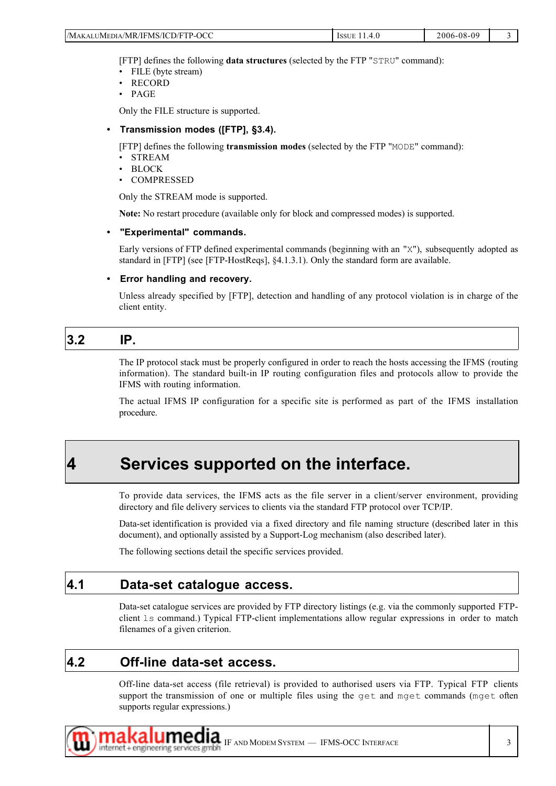| 2-OCC<br>/IFMS/ICD/FTP-<br>'Ma<br>JMEDIA/MR/<br>$.$ AT $\mathbf{I}^{\mathsf{T}}$<br>__<br>____ | <b>ISSUE</b><br>$\prime$<br>. .<br>T.V | $-08-09$<br>2006<br>. |  |
|------------------------------------------------------------------------------------------------|----------------------------------------|-----------------------|--|
|------------------------------------------------------------------------------------------------|----------------------------------------|-----------------------|--|

[FTP] defines the following **data structures** (selected by the FTP "STRU" command):

- FILE (byte stream)
- RECORD
- PAGE

Only the FILE structure is supported.

#### **• Transmission modes ([FTP], §3.4).**

[FTP] defines the following **transmission modes** (selected by the FTP "MODE" command):

- STREAM
- BLOCK
- COMPRESSED

Only the STREAM mode is supported.

**Note:** No restart procedure (available only for block and compressed modes) is supported.

#### **• "Experimental" commands.**

Early versions of FTP defined experimental commands (beginning with an "X"), subsequently adopted as standard in [FTP] (see [FTP-HostReqs], §4.1.3.1). Only the standard form are available.

#### **• Error handling and recovery.**

Unless already specified by [FTP], detection and handling of any protocol violation is in charge of the client entity.

### **3.2 IP.**

The IP protocol stack must be properly configured in order to reach the hosts accessing the IFMS (routing information). The standard built-in IP routing configuration files and protocols allow to provide the IFMS with routing information.

The actual IFMS IP configuration for a specific site is performed as part of the IFMS installation procedure.

### **4 Services supported on the interface.**

To provide data services, the IFMS acts as the file server in a client/server environment, providing directory and file delivery services to clients via the standard FTP protocol over TCP/IP.

Data-set identification is provided via a fixed directory and file naming structure (described later in this document), and optionally assisted by a Support-Log mechanism (also described later).

The following sections detail the specific services provided.

#### **4.1 Data-set catalogue access.**

Data-set catalogue services are provided by FTP directory listings (e.g. via the commonly supported FTPclient ls command.) Typical FTP-client implementations allow regular expressions in order to match filenames of a given criterion.

#### **4.2 Off-line data-set access.**

Off-line data-set access (file retrieval) is provided to authorised users via FTP. Typical FTP clients support the transmission of one or multiple files using the get and mget commands (mget often supports regular expressions.)

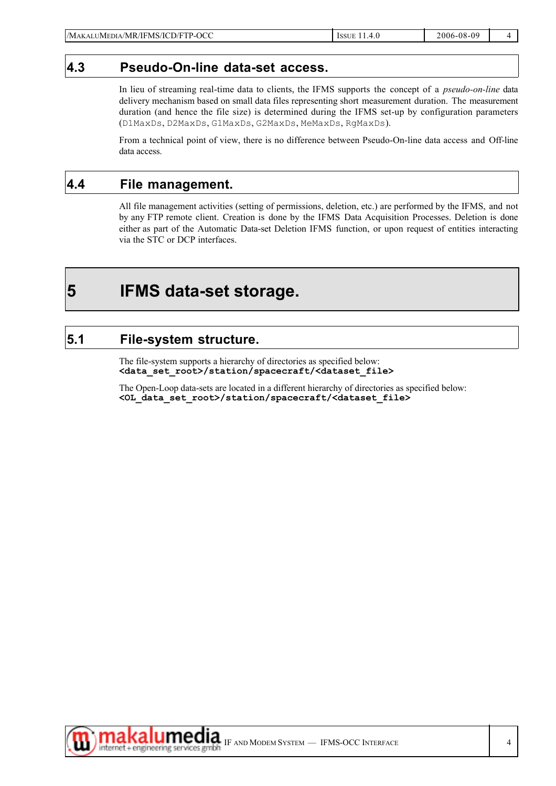#### **4.3 Pseudo-On-line data-set access.**

In lieu of streaming real-time data to clients, the IFMS supports the concept of a *pseudo-on-line* data delivery mechanism based on small data files representing short measurement duration. The measurement duration (and hence the file size) is determined during the IFMS set-up by configuration parameters (D1MaxDs, D2MaxDs, G1MaxDs, G2MaxDs, MeMaxDs, RgMaxDs).

From a technical point of view, there is no difference between Pseudo-On-line data access and Off-line data access.

### **4.4 File management.**

All file management activities (setting of permissions, deletion, etc.) are performed by the IFMS, and not by any FTP remote client. Creation is done by the IFMS Data Acquisition Processes. Deletion is done either as part of the Automatic Data-set Deletion IFMS function, or upon request of entities interacting via the STC or DCP interfaces.

## **5 IFMS data-set storage.**

#### **5.1 File-system structure.**

The file-system supports a hierarchy of directories as specified below: **<data\_set\_root>/station/spacecraft/<dataset\_file>**

The Open-Loop data-sets are located in a different hierarchy of directories as specified below: **<OL\_data\_set\_root>/station/spacecraft/<dataset\_file>**

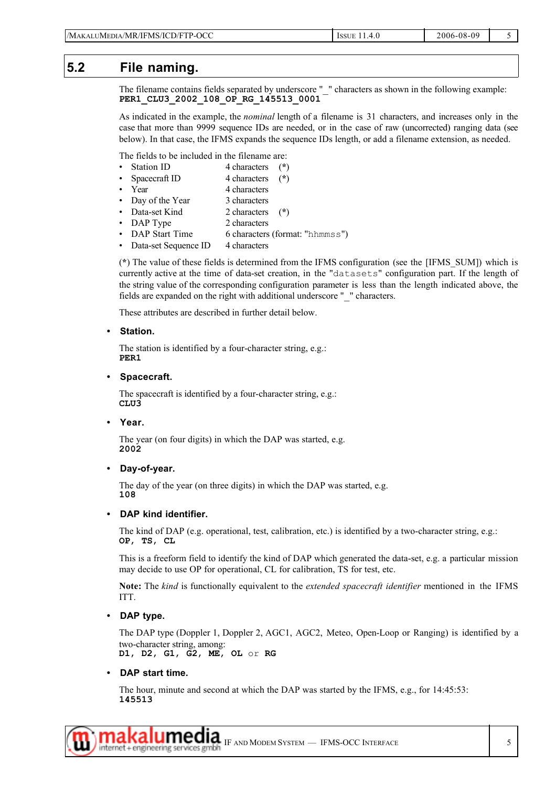#### **5.2 File naming.**

The filename contains fields separated by underscore " " characters as shown in the following example: **PER1\_CLU3\_2002\_108\_OP\_RG\_145513\_0001**

As indicated in the example, the *nominal* length of a filename is 31 characters, and increases only in the case that more than 9999 sequence IDs are needed, or in the case of raw (uncorrected) ranging data (see below). In that case, the IFMS expands the sequence IDs length, or add a filename extension, as needed.

The fields to be included in the filename are:

- Station ID 4 characters (**\***)
- Spacecraft ID 4 characters (**\***)
- Year 4 characters
- Day of the Year 3 characters
- Data-set Kind 2 characters (**\***)
- DAP Type 2 characters
- DAP Start Time 6 characters (format: "hhmmss")
- Data-set Sequence ID 4 characters

(**\***) The value of these fields is determined from the IFMS configuration (see the [IFMS\_SUM]) which is currently active at the time of data-set creation, in the "datasets" configuration part. If the length of the string value of the corresponding configuration parameter is less than the length indicated above, the fields are expanded on the right with additional underscore "  $\degree$  " characters.

These attributes are described in further detail below.

**• Station.**

The station is identified by a four-character string, e.g.: **PER1**

#### **• Spacecraft.**

The spacecraft is identified by a four-character string, e.g.: **CLU3**

**• Year.**

The year (on four digits) in which the DAP was started, e.g. **2002**

**• Day-of-year.**

The day of the year (on three digits) in which the DAP was started, e.g. **108**

#### **• DAP kind identifier.**

The kind of DAP (e.g. operational, test, calibration, etc.) is identified by a two-character string, e.g.: **OP**, **TS**, **CL**

This is a freeform field to identify the kind of DAP which generated the data-set, e.g. a particular mission may decide to use OP for operational, CL for calibration, TS for test, etc.

**Note:** The *kind* is functionally equivalent to the *extended spacecraft identifier* mentioned in the IFMS ITT.

**• DAP type.**

The DAP type (Doppler 1, Doppler 2, AGC1, AGC2, Meteo, Open-Loop or Ranging) is identified by a two-character string, among: **D1**, **D2**, **G1**, **G2**, **ME**, **OL** or **RG**

#### **• DAP start time.**

The hour, minute and second at which the DAP was started by the IFMS, e.g., for 14:45:53: **145513**

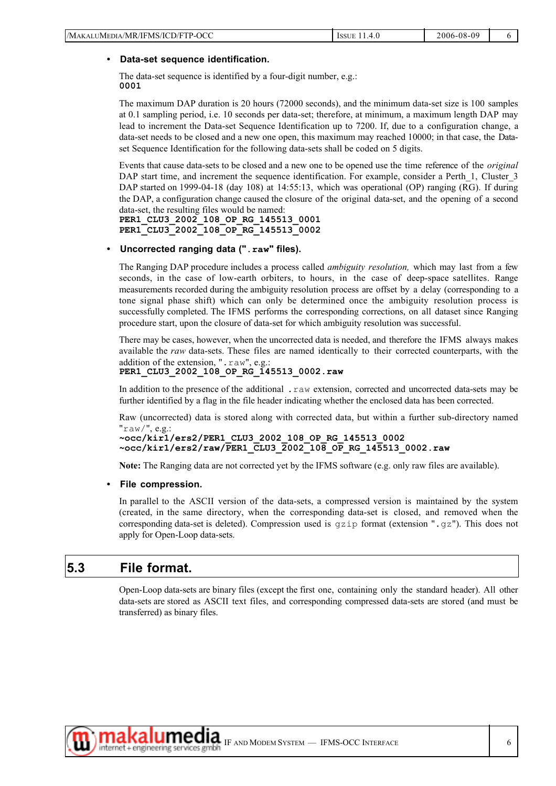#### **• Data-set sequence identification.**

The data-set sequence is identified by a four-digit number, e.g.: **0001**

The maximum DAP duration is 20 hours (72000 seconds), and the minimum data-set size is 100 samples at 0.1 sampling period, i.e. 10 seconds per data-set; therefore, at minimum, a maximum length DAP may lead to increment the Data-set Sequence Identification up to 7200. If, due to a configuration change, a data-set needs to be closed and a new one open, this maximum may reached 10000; in that case, the Dataset Sequence Identification for the following data-sets shall be coded on 5 digits.

Events that cause data-sets to be closed and a new one to be opened use the time reference of the *original* DAP start time, and increment the sequence identification. For example, consider a Perth\_1, Cluster\_3 DAP started on 1999-04-18 (day 108) at 14:55:13, which was operational (OP) ranging (RG). If during the DAP, a configuration change caused the closure of the original data-set, and the opening of a second data-set, the resulting files would be named:

**PER1\_CLU3\_2002\_108\_OP\_RG\_145513\_0001 PER1\_CLU3\_2002\_108\_OP\_RG\_145513\_0002**

#### **• Uncorrected ranging data (".raw" files).**

The Ranging DAP procedure includes a process called *ambiguity resolution,* which may last from a few seconds, in the case of low-earth orbiters, to hours, in the case of deep-space satellites. Range measurements recorded during the ambiguity resolution process are offset by a delay (corresponding to a tone signal phase shift) which can only be determined once the ambiguity resolution process is successfully completed. The IFMS performs the corresponding corrections, on all dataset since Ranging procedure start, upon the closure of data-set for which ambiguity resolution was successful.

There may be cases, however, when the uncorrected data is needed, and therefore the IFMS always makes available the *raw* data-sets. These files are named identically to their corrected counterparts, with the addition of the extension, ". raw", e.g.:

#### **PER1\_CLU3\_2002\_108\_OP\_RG\_145513\_0002.raw**

In addition to the presence of the additional . raw extension, corrected and uncorrected data-sets may be further identified by a flag in the file header indicating whether the enclosed data has been corrected.

Raw (uncorrected) data is stored along with corrected data, but within a further sub-directory named "raw/", e.g.:

```
~occ/kir1/ers2/PER1_CLU3_2002_108_OP_RG_145513_0002
~occ/kir1/ers2/raw/PER1_CLU3_2002_108_OP_RG_145513_0002.raw
```
**Note:** The Ranging data are not corrected yet by the IFMS software (e.g. only raw files are available).

#### **• File compression.**

In parallel to the ASCII version of the data-sets, a compressed version is maintained by the system (created, in the same directory, when the corresponding data-set is closed, and removed when the corresponding data-set is deleted). Compression used is  $gzip$  format (extension ".gz"). This does not apply for Open-Loop data-sets.

#### **5.3 File format.**

Open-Loop data-sets are binary files (except the first one, containing only the standard header). All other data-sets are stored as ASCII text files, and corresponding compressed data-sets are stored (and must be transferred) as binary files.

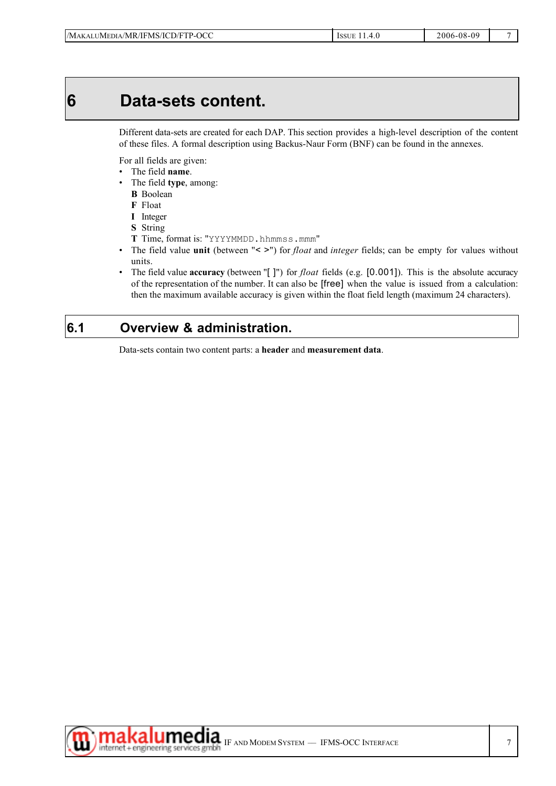## **6 Data-sets content.**

Different data-sets are created for each DAP. This section provides a high-level description of the content of these files. A formal description using Backus-Naur Form (BNF) can be found in the annexes.

For all fields are given:

- The field **name**.
- The field **type**, among:
	- **B** Boolean
	- **F** Float
	- **I** Integer
	- **S** String
	- **T** Time, format is: "YYYYMMDD.hhmmss.mmm"
- The field value **unit** (between "< >") for *float* and *integer* fields; can be empty for values without units.
- The field value **accuracy** (between "[ ]") for *float* fields (e.g. [0.001]). This is the absolute accuracy of the representation of the number. It can also be [free] when the value is issued from a calculation: then the maximum available accuracy is given within the float field length (maximum 24 characters).

### **6.1 Overview & administration.**

Data-sets contain two content parts: a **header** and **measurement data**.

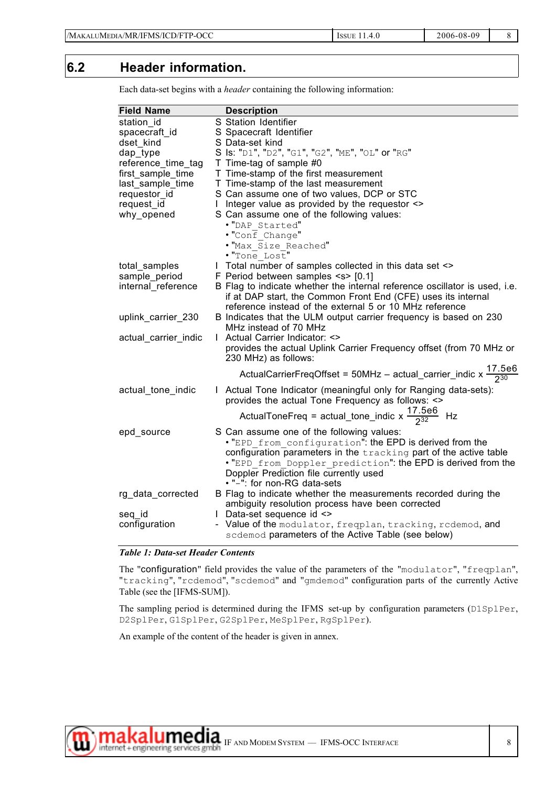### **6.2 Header information.**

| <b>Field Name</b>    | <b>Description</b>                                                                         |
|----------------------|--------------------------------------------------------------------------------------------|
| station id           | S Station Identifier                                                                       |
| spacecraft id        | S Spacecraft Identifier                                                                    |
| dset kind            | S Data-set kind                                                                            |
| dap_type             | S Is: "D1", "D2", "G1", "G2", "ME", "OL" or "RG"                                           |
| reference_time_tag   | T Time-tag of sample #0                                                                    |
| first_sample_time    | T Time-stamp of the first measurement                                                      |
| last_sample_time     | T Time-stamp of the last measurement                                                       |
| requestor id         | S Can assume one of two values, DCP or STC                                                 |
| request_id           | I Integer value as provided by the requestor <>                                            |
| why_opened           | S Can assume one of the following values:                                                  |
|                      | . "DAP Started"                                                                            |
|                      | $\cdot$ "Conf Change"                                                                      |
|                      | . "Max Size Reached"                                                                       |
|                      | . "Tone Lost"                                                                              |
| total_samples        | I Total number of samples collected in this data set <>                                    |
| sample_period        | F Period between samples <s> [0.1]</s>                                                     |
| internal reference   | B Flag to indicate whether the internal reference oscillator is used, i.e.                 |
|                      | if at DAP start, the Common Front End (CFE) uses its internal                              |
|                      | reference instead of the external 5 or 10 MHz reference                                    |
| uplink_carrier_230   | B Indicates that the ULM output carrier frequency is based on 230<br>MHz instead of 70 MHz |
| actual_carrier_indic | I Actual Carrier Indicator: <>                                                             |
|                      | provides the actual Uplink Carrier Frequency offset (from 70 MHz or                        |
|                      | 230 MHz) as follows:                                                                       |
|                      |                                                                                            |
|                      | ActualCarrierFreqOffset = 50MHz - actual_carrier_indic x $\frac{17.5e6}{230}$              |
| actual_tone_indic    | I Actual Tone Indicator (meaningful only for Ranging data-sets):                           |
|                      | provides the actual Tone Frequency as follows: <>                                          |
|                      | ActualToneFreq = actual_tone_indic x $\frac{17.5e6}{232}$ Hz                               |
| epd_source           | S Can assume one of the following values:                                                  |
|                      | . "EPD from configuration": the EPD is derived from the                                    |
|                      | configuration parameters in the tracking part of the active table                          |
|                      | . "EPD from Doppler prediction": the EPD is derived from the                               |
|                      | Doppler Prediction file currently used                                                     |
|                      | . "-": for non-RG data-sets                                                                |
| rg_data_corrected    | B Flag to indicate whether the measurements recorded during the                            |
|                      | ambiguity resolution process have been corrected                                           |
| seq_id               | I Data-set sequence id <>                                                                  |
| configuration        | - Value of the modulator, freqplan, tracking, redemod, and                                 |
|                      | scdemod parameters of the Active Table (see below)                                         |

Each data-set begins with a *header* containing the following information:

#### *Table 1: Data-set Header Contents*

The "configuration" field provides the value of the parameters of the "modulator", "freqplan", "tracking", "rcdemod", "scdemod" and "gmdemod" configuration parts of the currently Active Table (see the [IFMS-SUM]).

The sampling period is determined during the IFMS set-up by configuration parameters (D1SplPer, D2SplPer, G1SplPer, G2SplPer, MeSplPer, RgSplPer).

An example of the content of the header is given in annex.

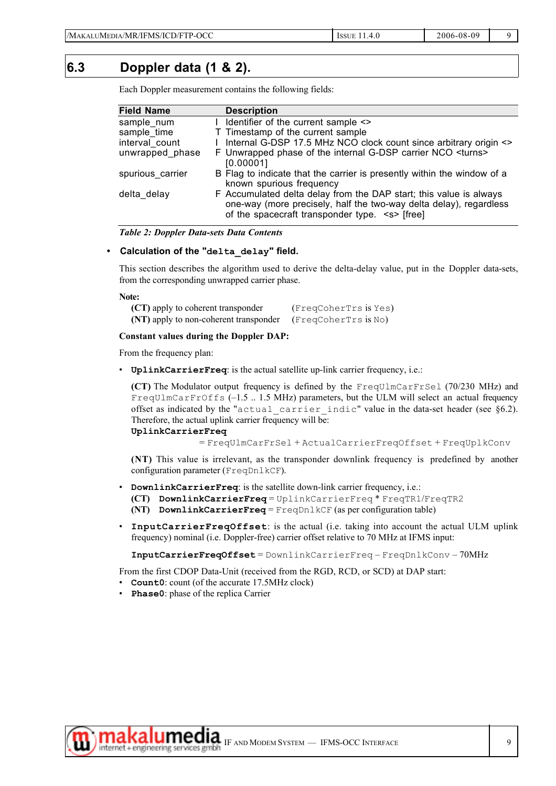#### **6.3 Doppler data (1 & 2).**

Each Doppler measurement contains the following fields:

| <b>Field Name</b> | <b>Description</b>                                                                                                                                                                             |
|-------------------|------------------------------------------------------------------------------------------------------------------------------------------------------------------------------------------------|
| sample num        | I Identifier of the current sample <>                                                                                                                                                          |
| sample_time       | T Timestamp of the current sample                                                                                                                                                              |
| interval count    | I Internal G-DSP 17.5 MHz NCO clock count since arbitrary origin <>                                                                                                                            |
| unwrapped phase   | F Unwrapped phase of the internal G-DSP carrier NCO <turns><br/>[0.00001]</turns>                                                                                                              |
| spurious carrier  | B Flag to indicate that the carrier is presently within the window of a<br>known spurious frequency                                                                                            |
| delta delay       | F Accumulated delta delay from the DAP start; this value is always<br>one-way (more precisely, half the two-way delta delay), regardless<br>of the spacecraft transponder type. <s> [free]</s> |

#### *Table 2: Doppler Data-sets Data Contents*

#### **• Calculation of the "delta\_delay" field.**

This section describes the algorithm used to derive the delta-delay value, put in the Doppler data-sets, from the corresponding unwrapped carrier phase.

#### **Note:**

| (CT) apply to coherent transponder     | (FreqCoherTrs is Yes) |
|----------------------------------------|-----------------------|
| (NT) apply to non-coherent transponder | (FreqCoherTrs is No)  |

#### **Constant values during the Doppler DAP:**

From the frequency plan:

• **UplinkCarrierFreq**: is the actual satellite up-link carrier frequency, i.e.:

**(CT)** The Modulator output frequency is defined by the FreqUlmCarFrSel (70/230 MHz) and FreqUlmCarFrOffs (–1.5 .. 1.5 MHz) parameters, but the ULM will select an actual frequency offset as indicated by the "actual carrier indic" value in the data-set header (see §6.2). Therefore, the actual uplink carrier frequency will be:

#### **UplinkCarrierFreq**

= FreqUlmCarFrSel + ActualCarrierFreqOffset + FreqUplkConv

**(NT)** This value is irrelevant, as the transponder downlink frequency is predefined by another configuration parameter (FreqDnlkCF).

- **DownlinkCarrierFreq**: is the satellite down-link carrier frequency, i.e.:
	- **(CT) DownlinkCarrierFreq** = UplinkCarrierFreq \* FreqTR1/FreqTR2
	- **(NT) DownlinkCarrierFreq** = FreqDnlkCF (as per configuration table)
- **InputCarrierFreqOffset**: is the actual (i.e. taking into account the actual ULM uplink frequency) nominal (i.e. Doppler-free) carrier offset relative to 70 MHz at IFMS input:

**InputCarrierFreqOffset** = DownlinkCarrierFreq – FreqDnlkConv – 70MHz

From the first CDOP Data-Unit (received from the RGD, RCD, or SCD) at DAP start:

- **Count0**: count (of the accurate 17.5MHz clock)
- **Phase0**: phase of the replica Carrier

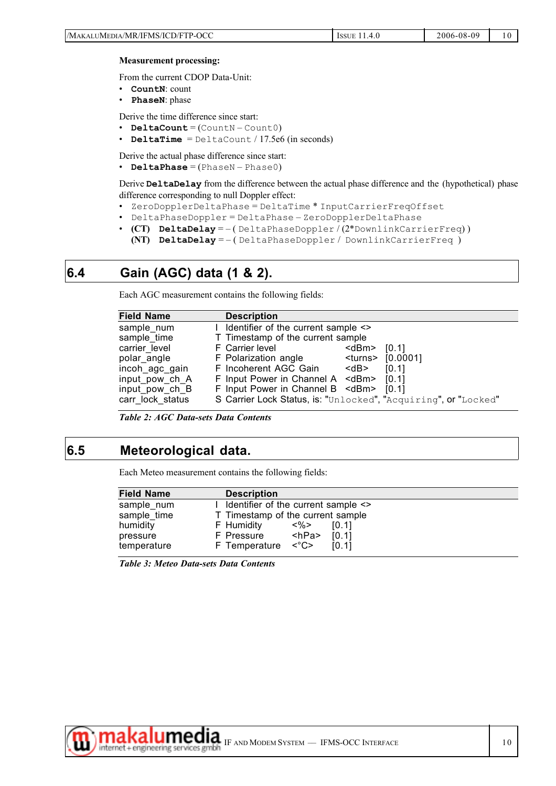| $\Lambda$ I<br>100UF |                                              |               |            |  |
|----------------------|----------------------------------------------|---------------|------------|--|
|                      | /Maka<br>)/FTP-OCC<br>ALUMEDIA/MR/IFMS/ICD/F | <b>LCCLIF</b> | 2006-08-09 |  |
|                      |                                              |               |            |  |

#### **Measurement processing:**

From the current CDOP Data-Unit:

- **CountN**: count
- **PhaseN**: phase

Derive the time difference since start:

- **DeltaCount** = (CountN Count0)
- **DeltaTime** = DeltaCount / 17.5e6 (in seconds)

Derive the actual phase difference since start:

• **DeltaPhase** = (PhaseN – Phase0)

Derive **DeltaDelay** from the difference between the actual phase difference and the (hypothetical) phase difference corresponding to null Doppler effect:

- ZeroDopplerDeltaPhase = DeltaTime \* InputCarrierFreqOffset
- DeltaPhaseDoppler = DeltaPhase ZeroDopplerDeltaPhase
- **(CT) DeltaDelay** = ( DeltaPhaseDoppler / (2\*DownlinkCarrierFreq) ) **(NT) DeltaDelay** = – ( DeltaPhaseDoppler / DownlinkCarrierFreq )

### **6.4 Gain (AGC) data (1 & 2).**

Each AGC measurement contains the following fields:

| <b>Field Name</b>                                                                                                                   | <b>Description</b>                                                                                                                                                                                                                                                                                            |                            |                                                        |
|-------------------------------------------------------------------------------------------------------------------------------------|---------------------------------------------------------------------------------------------------------------------------------------------------------------------------------------------------------------------------------------------------------------------------------------------------------------|----------------------------|--------------------------------------------------------|
| sample num<br>sample_time<br>carrier level<br>polar angle<br>incoh ago gain<br>input pow ch A<br>input_pow_ch_B<br>carr lock status | I Identifier of the current sample <><br>T Timestamp of the current sample<br>F Carrier level<br>F Polarization angle<br>F Incoherent AGC Gain<br>F Input Power in Channel A <dbm><br/>F Input Power in Channel B <dbm> [0.1]<br/>S Carrier Lock Status, is: "Unlocked", "Acquiring", or "Locked"</dbm></dbm> | <dbm><br/>dB&gt;&gt;</dbm> | [0.1]<br><turns> [0.0001]<br/>[0.1]<br/>[0.11]</turns> |

*Table 2: AGC Data-sets Data Contents*

### **6.5 Meteorological data.**

Each Meteo measurement contains the following fields:

| <b>Field Name</b> | <b>Description</b>                                 |  |
|-------------------|----------------------------------------------------|--|
| sample num        | I Identifier of the current sample $\le$           |  |
| sample time       | T Timestamp of the current sample                  |  |
| humidity          | <%><br>F Humidity<br>[0.1]                         |  |
| pressure          | <hpa><br/>[0.1]<br/>F Pressure</hpa>               |  |
| temperature       | F Temperature $\langle ^{\circ}C \rangle$<br>[0.1] |  |

*Table 3: Meteo Data-sets Data Contents*

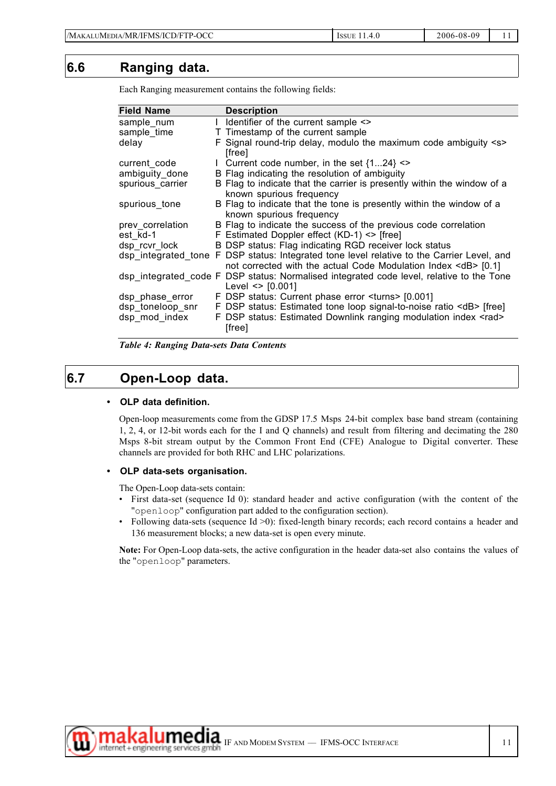### **6.6 Ranging data.**

| <b>Field Name</b> | <b>Description</b>                                                                                                                                                |
|-------------------|-------------------------------------------------------------------------------------------------------------------------------------------------------------------|
| sample num        | I Identifier of the current sample <>                                                                                                                             |
| sample time       | T Timestamp of the current sample                                                                                                                                 |
| delay             | F Signal round-trip delay, modulo the maximum code ambiguity <s><br/>[free]</s>                                                                                   |
| current code      | 1 Current code number, in the set $\{124\}$ <>                                                                                                                    |
| ambiguity done    | B Flag indicating the resolution of ambiguity                                                                                                                     |
| spurious carrier  | B Flag to indicate that the carrier is presently within the window of a<br>known spurious frequency                                                               |
| spurious_tone     | B Flag to indicate that the tone is presently within the window of a<br>known spurious frequency                                                                  |
| prev correlation  | B Flag to indicate the success of the previous code correlation                                                                                                   |
| est_kd-1          | F Estimated Doppler effect (KD-1) <> [free]                                                                                                                       |
| dsp rcvr lock     | B DSP status: Flag indicating RGD receiver lock status                                                                                                            |
|                   | dsp integrated tone F DSP status: Integrated tone level relative to the Carrier Level, and<br>not corrected with the actual Code Modulation Index <db> [0.1]</db> |
|                   | dsp_integrated_code F_DSP_status: Normalised integrated code level, relative to the Tone<br>Level $\le$ [0.001]                                                   |
| dsp_phase_error   | F DSP status: Current phase error <turns> [0.001]</turns>                                                                                                         |
| dsp_toneloop_snr  | F DSP status: Estimated tone loop signal-to-noise ratio <db> [free]</db>                                                                                          |
| dsp_mod_index     | F DSP status: Estimated Downlink ranging modulation index <rad><br/>[free]</rad>                                                                                  |

Each Ranging measurement contains the following fields:

*Table 4: Ranging Data-sets Data Contents*

### **6.7 Open-Loop data.**

#### **• OLP data definition.**

Open-loop measurements come from the GDSP 17.5 Msps 24-bit complex base band stream (containing 1, 2, 4, or 12-bit words each for the I and Q channels) and result from filtering and decimating the 280 Msps 8-bit stream output by the Common Front End (CFE) Analogue to Digital converter. These channels are provided for both RHC and LHC polarizations.

#### **• OLP data-sets organisation.**

The Open-Loop data-sets contain:

- First data-set (sequence Id 0): standard header and active configuration (with the content of the "openloop" configuration part added to the configuration section).
- Following data-sets (sequence Id >0): fixed-length binary records; each record contains a header and 136 measurement blocks; a new data-set is open every minute.

**Note:** For Open-Loop data-sets, the active configuration in the header data-set also contains the values of the "openloop" parameters.

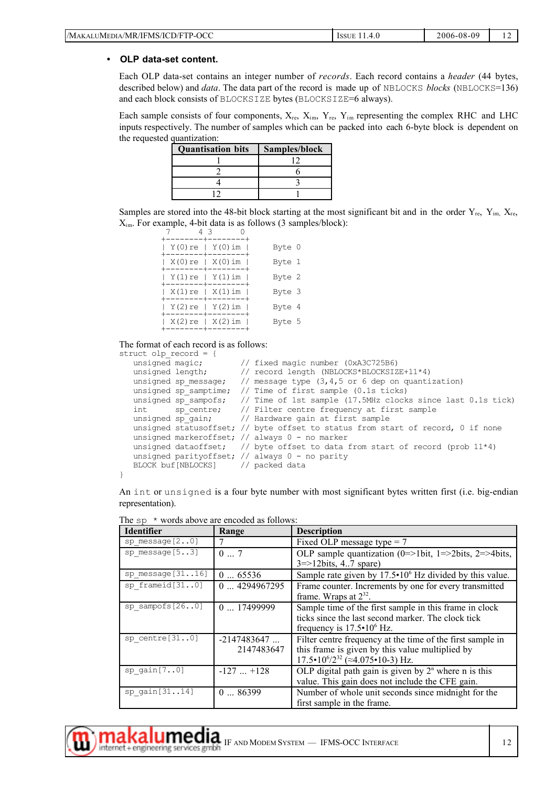| /Mak<br>P-OCC <sup>.</sup><br>/IFMS/ICD/FTP-<br>MR/<br>™IMEDIA .<br>.<br>$ -$ | <b>ISSUE</b><br>7. J<br>. . | 2006-08-09 |  |
|-------------------------------------------------------------------------------|-----------------------------|------------|--|
|-------------------------------------------------------------------------------|-----------------------------|------------|--|

#### **• OLP data-set content.**

Each OLP data-set contains an integer number of *records*. Each record contains a *header* (44 bytes, described below) and *data*. The data part of the record is made up of NBLOCKS *blocks* (NBLOCKS=136) and each block consists of BLOCKSIZE bytes (BLOCKSIZE=6 always).

Each sample consists of four components,  $X_{re}$ ,  $X_{im}$ ,  $Y_{re}$ ,  $Y_{im}$  representing the complex RHC and LHC inputs respectively. The number of samples which can be packed into each 6-byte block is dependent on the requested quantization:

| <b>Quantisation bits</b> | Samples/block |
|--------------------------|---------------|
|                          |               |
|                          |               |
|                          |               |
|                          |               |

Samples are stored into the 48-bit block starting at the most significant bit and in the order  $Y_{\rm re}$ ,  $Y_{\rm im}$ ,  $X_{\rm re}$ ,  $X_{\text{im}}$ . For example, 4-bit data is as follows (3 samples/block):

| 43<br>-----+-   |                     |        |
|-----------------|---------------------|--------|
| Y(0)re   Y(0)im | --------+--------+  | Byte 0 |
| X(0)re   X(0)im | --------+--------+  | Byte 1 |
| Y(1)re   Y(1)im | .--------+--------+ | Byte 2 |
| X(1)re   X(1)im | +--------+--------+ | Byte 3 |
| Y(2)re   Y(2)im | --------+--------   | Byte 4 |
| X(2)re   X(2)im |                     | Byte 5 |
|                 |                     |        |

#### The format of each record is as follows:

```
struct olp record = {
   unsigned magic; \frac{1}{2} fixed magic number (0xA3C725B6)<br>unsigned length; \frac{1}{2} record length (NBLOCKS*BLOCKSIZ
                              // record length (NBLOCKS*BLOCKSIZE+11*4)
   unsigned sp_message; \frac{1}{2} message type (3,4,5 or 6 dep on quantization)
   unsigned sp_samptime; // Time of first sample (0.1s ticks)
   unsigned sp_sampofs; // Time of 1st sample (17.5MHz clocks since last 0.1s tick) int sp_centre; // Filter centre frequency at first sample
   int sp_centre; // Filter centre frequency at first sample
   unsigned sp_gain; // Hardware gain at first sample
   unsigned statusoffset; // byte offset to status from start of record, 0 if none
   unsigned markeroffset; // always 0 - no marker
   unsigned dataoffset; \frac{1}{4} byte offset to data from start of record (prob 11*4)
   unsigned parityoffset; // always 0 - no parity
   BLOCK buf[NBLOCKS] // packed data
```
An int or unsigned is a four byte number with most significant bytes written first (i.e. big-endian representation).

| <b>Identifier</b>   | Range         | <b>Description</b>                                               |
|---------------------|---------------|------------------------------------------------------------------|
| sp message $[20]$   |               | Fixed OLP message type $= 7$                                     |
| sp message $[53]$   | 07            | OLP sample quantization (0=>1bit, 1=>2bits, 2=>4bits,            |
|                     |               | $3 = > 12 \text{bits}, 4.7 \text{ spare}$                        |
| sp message $[3116]$ | 065536        | Sample rate given by $17.5 \cdot 10^6$ Hz divided by this value. |
| sp frameid $[310]$  | 04294967295   | Frame counter. Increments by one for every transmitted           |
|                     |               | frame. Wraps at $2^{32}$ .                                       |
| sp sampofs[260]     | $0$ 17499999  | Sample time of the first sample in this frame in clock           |
|                     |               | ticks since the last second marker. The clock tick               |
|                     |               | frequency is $17.5 \cdot 10^6$ Hz.                               |
| sp centre $[310]$   | $-2147483647$ | Filter centre frequency at the time of the first sample in       |
|                     | 2147483647    | this frame is given by this value multiplied by                  |
|                     |               | $17.5 \cdot 10^{6}/2^{32}$ ( $\approx$ 4.075 $\cdot$ 10-3) Hz.   |
| sp $gain[70]$       | $-127+128$    | OLP digital path gain is given by $2n$ where n is this           |
|                     |               | value. This gain does not include the CFE gain.                  |
| sp $gain[3114]$     | 086399        | Number of whole unit seconds since midnight for the              |
|                     |               | first sample in the frame.                                       |

The  $sp*$  words above are encoded as follows:



}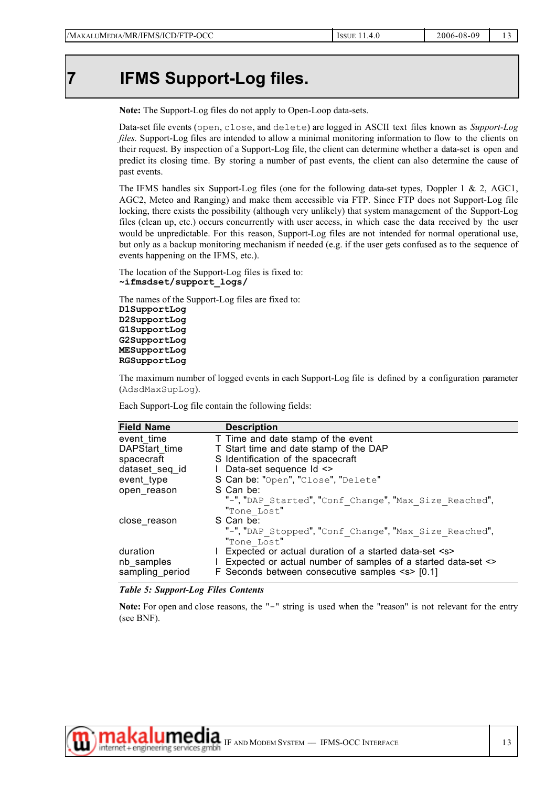### **7 IFMS Support-Log files.**

**Note:** The Support-Log files do not apply to Open-Loop data-sets.

Data-set file events (open, close, and delete) are logged in ASCII text files known as *Support-Log files.* Support-Log files are intended to allow a minimal monitoring information to flow to the clients on their request. By inspection of a Support-Log file, the client can determine whether a data-set is open and predict its closing time. By storing a number of past events, the client can also determine the cause of past events.

The IFMS handles six Support-Log files (one for the following data-set types, Doppler 1 & 2, AGC1, AGC2, Meteo and Ranging) and make them accessible via FTP. Since FTP does not Support-Log file locking, there exists the possibility (although very unlikely) that system management of the Support-Log files (clean up, etc.) occurs concurrently with user access, in which case the data received by the user would be unpredictable. For this reason, Support-Log files are not intended for normal operational use, but only as a backup monitoring mechanism if needed (e.g. if the user gets confused as to the sequence of events happening on the IFMS, etc.).

The location of the Support-Log files is fixed to: **~ifmsdset/support\_logs/**

The names of the Support-Log files are fixed to: **D1SupportLog D2SupportLog G1SupportLog G2SupportLog MESupportLog RGSupportLog**

The maximum number of logged events in each Support-Log file is defined by a configuration parameter (AdsdMaxSupLog).

Each Support-Log file contain the following fields:

| <b>Field Name</b> | <b>Description</b>                                            |
|-------------------|---------------------------------------------------------------|
| event time        | T Time and date stamp of the event                            |
| DAPStart time     | T Start time and date stamp of the DAP                        |
| spacecraft        | S Identification of the spacecraft                            |
| dataset seq id    | I Data-set sequence Id <>                                     |
| event type        | S Can be: "Open", "Close", "Delete"                           |
| open reason       | S Can be:                                                     |
|                   | "-", "DAP Started", "Conf Change", "Max Size Reached",        |
|                   | "Tone Lost"                                                   |
| close reason      | S Can be:                                                     |
|                   | "-", "DAP Stopped", "Conf Change", "Max Size Reached",        |
|                   | "Tone Lost"                                                   |
| duration          | I Expected or actual duration of a started data-set <s></s>   |
| nb samples        | Expected or actual number of samples of a started data-set <> |
| sampling_period   | F Seconds between consecutive samples $\le$ [0.1]             |

#### *Table 5: Support-Log Files Contents*

Note: For open and close reasons, the "-" string is used when the "reason" is not relevant for the entry (see BNF).

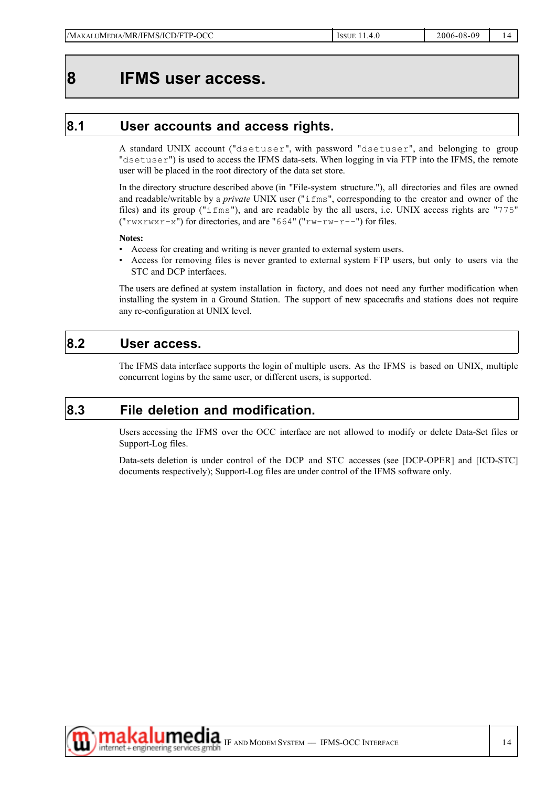### **8 IFMS user access.**

### **8.1 User accounts and access rights.**

A standard UNIX account ("dsetuser", with password "dsetuser", and belonging to group "dsetuser") is used to access the IFMS data-sets. When logging in via FTP into the IFMS, the remote user will be placed in the root directory of the data set store.

In the directory structure described above (in "File-system structure."), all directories and files are owned and readable/writable by a *private* UNIX user ("ifms", corresponding to the creator and owner of the files) and its group ("ifms"), and are readable by the all users, i.e. UNIX access rights are "775"  $("rwxrwx-x")$  for directories, and are "664"  $("rw-rw-r--")$  for files.

#### **Notes:**

- Access for creating and writing is never granted to external system users.
- Access for removing files is never granted to external system FTP users, but only to users via the STC and DCP interfaces.

The users are defined at system installation in factory, and does not need any further modification when installing the system in a Ground Station. The support of new spacecrafts and stations does not require any re-configuration at UNIX level.

### **8.2 User access.**

The IFMS data interface supports the login of multiple users. As the IFMS is based on UNIX, multiple concurrent logins by the same user, or different users, is supported.

### **8.3 File deletion and modification.**

Users accessing the IFMS over the OCC interface are not allowed to modify or delete Data-Set files or Support-Log files.

Data-sets deletion is under control of the DCP and STC accesses (see [DCP-OPER] and [ICD-STC] documents respectively); Support-Log files are under control of the IFMS software only.

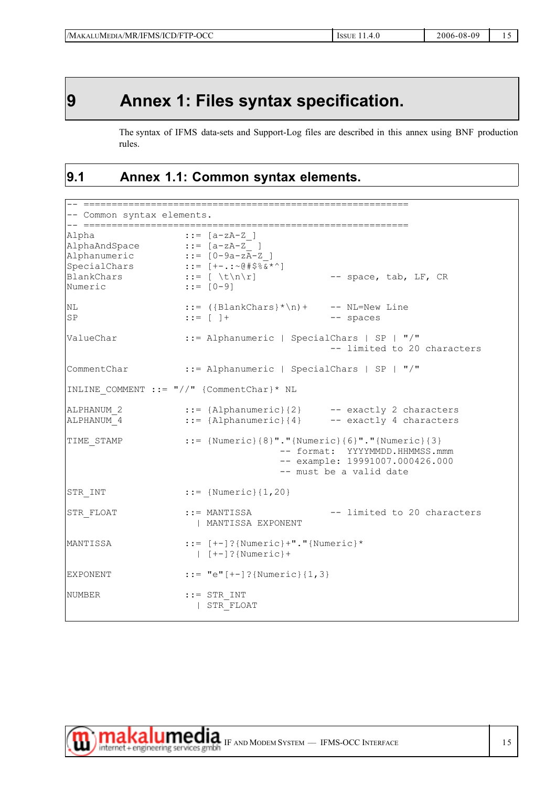## **9 Annex 1: Files syntax specification.**

The syntax of IFMS data-sets and Support-Log files are described in this annex using BNF production rules.

### **9.1 Annex 1.1: Common syntax elements.**

```
-- ==========================================================
-- Common syntax elements.
-- ==========================================================
\text{Alpha} ::= [a-zA-Z_1]AlphaAndSpace ::= [a-zA-Z_ ]
Alphanumeric ::= [0-9a-zA-Z ]
SpecialChars ::= [+-.:~@#$%&*^]
BlankChars ::= [\forall x \in \mathbb{R} -- space, tab, LF, CR
Numeric ::= [0-9]
NL ::= ({BlankChars}*\n)+ -- NL=New Line
SP ::= [ ] + - spaces
ValueChar ::= Alphanumeric | SpecialChars | SP | "/"
                                        -- limited to 20 characters
CommentChar ::= Alphanumeric | SpecialChars | SP | "/"
INLINE_COMMENT ::= "//" {CommentChar}* NL
ALPHANUM 2 ::= {Alphanumeric}{2} -- exactly 2 characters
ALPHANUM_4 ::= {Alphanumeric}{4} -- exactly 4 characters
TIME STAMP ::= {\text{Numberic}}{8}"."{Numeric}{6}"."{Numeric}{3}
                                -- format: YYYYMMDD.HHMMSS.mmm
                                 -- example: 19991007.000426.000
                                 -- must be a valid date
STR INT ::= {Numeric}{1,20}
STR_FLOAT ::= MANTISSA -- limited to 20 characters
                    | MANTISSA EXPONENT
MANTISSA ::= [+-] ?{Numeric}+"."{Numeric}*
                    | [+-]?{Numeric}+
EXPONENT ::= "e" [++] ? {Numeric} {1,3}
NUMBER ::= STR_INT
                    | STR_FLOAT
```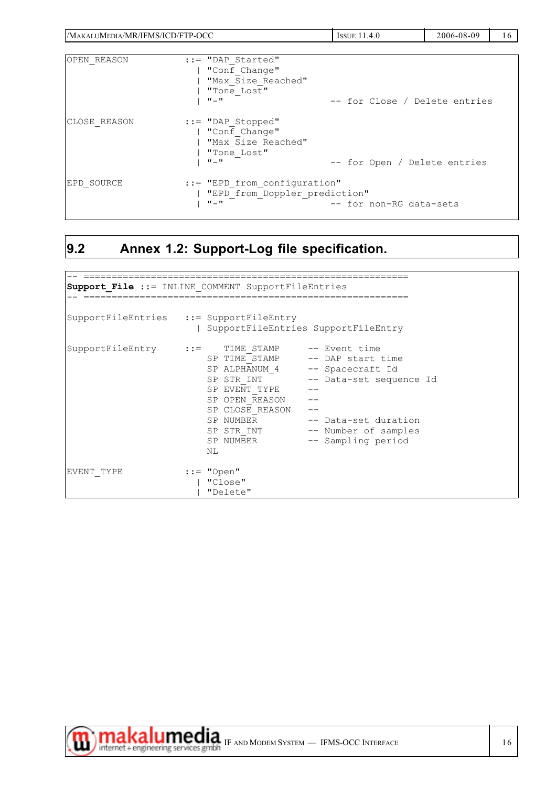| /MAKALUMEDIA/MR/IFMS/ICD/FTP-OCC |                                                                                         | <b>ISSUE 11.4.0</b>           | 2006-08-09 | 16 |
|----------------------------------|-----------------------------------------------------------------------------------------|-------------------------------|------------|----|
| OPEN REASON                      | $::="DAP$ Started"<br>"Conf Change"<br>"Max Size Reached"<br>"Tone Lost"<br>$\Pi = \Pi$ | -- for Close / Delete entries |            |    |
| CLOSE REASON                     | $::="DAP$ Stopped"<br>"Conf Change"<br>"Max Size Reached"<br>"Tone Lost"<br>$\Pi = \Pi$ | -- for Open / Delete entries  |            |    |
| EPD SOURCE                       | $::="FPP$ from configuration"<br>"EPD from Doppler prediction"<br>$\Pi = \Pi$           | -- for non-RG data-sets       |            |    |

## **9.2 Annex 1.2: Support-Log file specification.**

|            | <b>Support File ::= INLINE COMMENT SupportFileEntries</b>                                                             |                                                                                                                                                                                                    |  |
|------------|-----------------------------------------------------------------------------------------------------------------------|----------------------------------------------------------------------------------------------------------------------------------------------------------------------------------------------------|--|
|            | SupportFileEntries ::= SupportFileEntry                                                                               | SupportFileEntries SupportFileEntry                                                                                                                                                                |  |
|            | SupportFileEntry := TIME STAMP -- Event time<br>SP EVENT TYPE<br>SP OPEN REASON<br>SP CLOSE REASON<br>SP NUMBER<br>ΝL | SP TIME STAMP -- DAP start time<br>SP ALPHANUM_4 -- Spacecraft Id<br>SP STR INT -- Data-set sequence Id<br>SP NUMBER -- Data-set duration<br>SP STR INT -- Number of samples<br>-- Sampling period |  |
| EVENT TYPE | $::="Open"$<br>"Close"<br>"Delete"                                                                                    |                                                                                                                                                                                                    |  |



₩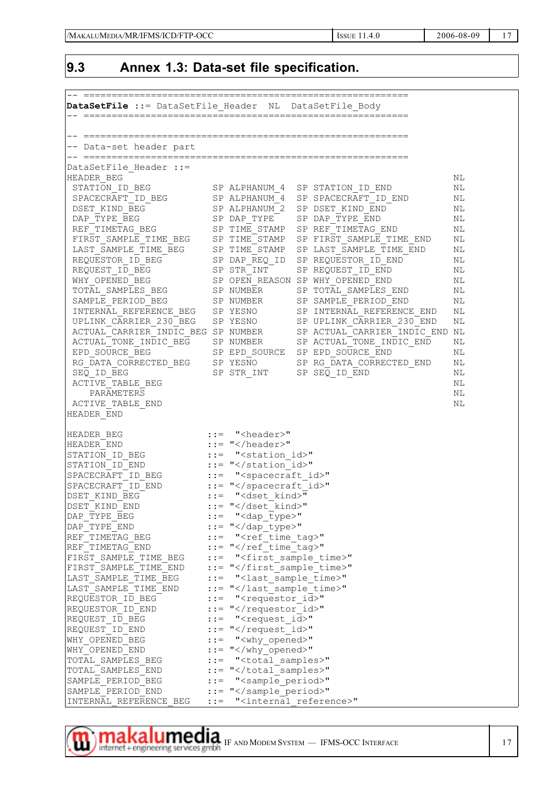### **9.3 Annex 1.3: Data-set file specification.**

| DataSetFile ::= DataSetFile Header NL DataSetFile Body |        |                                                |                                                |          |
|--------------------------------------------------------|--------|------------------------------------------------|------------------------------------------------|----------|
|                                                        |        |                                                |                                                |          |
| -- Data-set header part                                |        |                                                |                                                |          |
| DataSetFile Header ::=                                 |        |                                                |                                                |          |
| HEADER BEG                                             |        |                                                |                                                | ΝL       |
| STATION ID BEG                                         |        | SP ALPHANUM 4                                  | SP STATION ID END                              | ΝL       |
| SPACECRAFT ID BEG                                      |        | SP ALPHANUM 4                                  | SP SPACECRAFT ID END                           | ΝL       |
| DSET KIND BEG                                          |        | SP ALPHANUM 2                                  | SP DSET KIND END                               | ΝL       |
| DAP TYPE BEG                                           |        | SP DAP TYPE                                    | SP DAP TYPE END                                | ΝL       |
| REF TIMETAG BEG                                        |        | SP TIME STAMP                                  | SP REF TIMETAG END                             | ΝL       |
| FIRST SAMPLE TIME BEG                                  |        | SP TIME STAMP                                  | SP FIRST SAMPLE TIME END                       | ΝL       |
| LAST SAMPLE TIME BEG                                   |        | SP TIME STAMP                                  | SP LAST SAMPLE TIME END<br>SP REQUESTOR ID END | ΝL<br>ΝL |
| REQUESTOR ID BEG<br>REQUEST ID BEG                     |        | SP DAP REQ ID<br>SP STR INT                    | SP REQUEST ID END                              | ΝL       |
| WHY OPENED BEG                                         |        |                                                | SP OPEN REASON SP WHY OPENED END               | NЬ       |
| TOTAL SAMPLES BEG                                      |        | SP NUMBER                                      | SP TOTAL SAMPLES END                           | ΝL       |
| SAMPLE PERIOD BEG                                      |        | SP NUMBER                                      | SP SAMPLE PERIOD END                           | ΝL       |
| INTERNAL REFERENCE BEG                                 |        | SP YESNO                                       | SP INTERNAL REFERENCE END                      | ΝL       |
| UPLINK CARRIER 230 BEG                                 |        | SP YESNO                                       | SP UPLINK CARRIER 230 END                      | ΝL       |
| ACTUAL CARRIER INDIC BEG SP NUMBER                     |        |                                                | SP ACTUAL CARRIER INDIC END NL                 |          |
| ACTUAL TONE INDIC BEG                                  |        | SP NUMBER                                      | SP ACTUAL TONE INDIC END                       | ΝL       |
| EPD SOURCE BEG                                         |        | SP EPD SOURCE                                  | SP EPD SOURCE END                              | ΝL       |
| RG DATA CORRECTED BEG                                  |        | SP YESNO                                       | SP RG DATA CORRECTED END                       | ΝL       |
| SEQ ID BEG                                             |        | SP STR INT                                     | SP SEQ ID END                                  | ΝL       |
| ACTIVE TABLE BEG                                       |        |                                                |                                                | ΝL       |
| PARAMETERS                                             |        |                                                |                                                | ΝL       |
| ACTIVE TABLE END<br>HEADER END                         |        |                                                |                                                | NЬ       |
|                                                        |        |                                                |                                                |          |
| HEADER BEG                                             |        | $: :=$ " <header>"</header>                    |                                                |          |
| HEADER END                                             |        | $::="<"$                                       |                                                |          |
| STATION ID BEG                                         |        | ::= " <station id="">"</station>               |                                                |          |
| STATION ID END                                         |        | $::="<< $ station id>"                         |                                                |          |
| SPACECRAFT ID BEG<br>SPACECRAFT ID END                 | $: :=$ | " <spacecraft id="">"<br/>::= "</spacecraft> " |                                                |          |
| DSET KIND BEG                                          |        | ::= " <dset kind="">"</dset>                   |                                                |          |
| DSET KIND END                                          |        | $::="< kind>"$                                 |                                                |          |
| DAP TYPE BEG                                           |        | ::= " <dap type="">"</dap>                     |                                                |          |
| DAP TYPE END                                           |        | $::="<"$                                       |                                                |          |
| REF TIMETAG BEG                                        |        | ::= " <ref tag="" time="">"</ref>              |                                                |          |
| REF TIMETAG END                                        |        | $::=" < "<"$                                   |                                                |          |
| FIRST SAMPLE TIME BEG                                  |        | ::= " <first sample="" time="">"</first>       |                                                |          |
| FIRST SAMPLE TIME END                                  |        | ::= ""                                         |                                                |          |
| LAST SAMPLE TIME BEG                                   |        | ::= " <last sample="" time="">"</last>         |                                                |          |
| LAST SAMPLE TIME END                                   |        | ::= ""                                         |                                                |          |
| REQUESTOR ID BEG                                       |        | ::= " <requestor id="">"</requestor>           |                                                |          |
| REQUESTOR ID END                                       |        | $::="K$                                        |                                                |          |
| REQUEST ID BEG<br>REQUEST ID END                       |        | ::= " <request id="">"<br/>::= "</request> "   |                                                |          |
| WHY OPENED BEG                                         |        | $::=$ " $\ltimes$ why_opened>"                 |                                                |          |
| WHY OPENED END                                         |        | $::="<"$                                       |                                                |          |
| TOTAL SAMPLES BEG                                      |        | ::= " <total samples="">"</total>              |                                                |          |
| TOTAL SAMPLES END                                      |        | $::=$ ""                                       |                                                |          |
| SAMPLE PERIOD BEG                                      |        | ::= " <sample_period>"</sample_period>         |                                                |          |
| SAMPLE PERIOD END                                      |        | ::= ""                                         |                                                |          |
| INTERNAL REFERENCE BEG                                 |        | ::= " <internal reference="">"</internal>      |                                                |          |

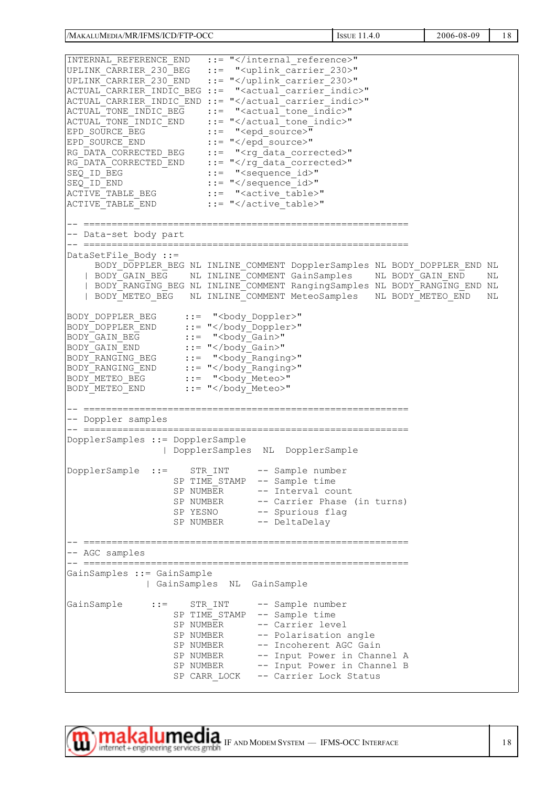/MAKALUMEDIA/MR/IFMS/ICD/FTP-OCC 1999 | ISSUE 11.4.0 2006-08-09 | 18 INTERNAL REFERENCE END ::= "</internal reference>" UPLINK\_CARRIER\_230\_BEG ::= "<uplink\_carrier\_230>" UPLINK\_CARRIER\_230\_END ::= "</uplink\_carrier\_230>" ACTUAL\_CARRIER\_INDIC\_BEG ::= "<actual\_carrier\_indic>" ACTUAL\_CARRIER\_INDIC\_END ::= "</actual\_carrier\_indic>" ACTUAL\_TONE\_INDIC\_BEG ::= "<actual\_tone\_indic>" ACTUAL\_TONE\_INDIC\_END ::= "</actual\_tone\_indic>" EPD\_SOURCE\_BEG ::= "<epd\_source>" EPD\_SOURCE\_END ::= "</epd\_source>" RG\_DATA\_CORRECTED\_BEG ::= "<rg\_data\_corrected>" RG\_DATA\_CORRECTED\_END ::= "</rg\_data\_corrected>" SEQ\_ID\_BEG<br>
SEQ\_ID\_BEG<br>
SEQ\_ID\_END<br>
ACTIVE\_TABLE\_BEG<br>
ACTIVE\_TABLE\_END<br>
::= "</active\_table><br>
ACTIVE\_TABLE\_END<br>
::= "</active\_table> ::= "</sequence\_id>" ::= "<active table>" ::= "</active<sup>-</sup>table>" -- ========================================================== -- Data-set body part -- ========================================================== DataSetFile Body ::= BODY\_DOPPLER\_BEG\_NL\_INLINE\_COMMENT\_DopplerSamples\_NL\_BODY\_DOPPLER\_END\_NL | BODY\_GAIN\_BEG NL INLINE\_COMMENT GainSamples NL BODY\_GAIN\_END NL | BODY<sup>-</sup>RANGING BEG NL INLINE<sup>-</sup>COMMENT RangingSamples NL BODY<sup>-</sup>RANGING END NL | BODY<sup>T</sup>METEO BEG NL INLINE<sup>T</sup>COMMENT MeteoSamples NL BODYTMETEO END NL BODY\_DOPPLER\_BEG ::= "<body\_Doppler>" BODY\_DOPPLER\_END ::= "</body\_Doppler>" BODY GAIN BEG ::= "<body Gain>"  $BODY$ <sup> $GAIN$ </sup>END  $:={}$  "</body<sup> $Gain>$ </sup>" BODY\_RANGING\_BEG ::= "<body\_Ranging>" BODY\_RANGING\_END ::= "</body\_Ranging>"<br>BODY\_METEO\_BEG ::= "<body\_Meteo>" BODY METEO\_BEG ::= "<body\_Meteo>"<br>BODY METEO END ::= "</body Meteo>" ::= "</body<sup>\_</sup>Meteo>" -- ========================================================== -- Doppler samples -- ========================================================== DopplerSamples ::= DopplerSample | DopplerSamples NL DopplerSample DopplerSample ::= STR\_INT -- Sample number SP TIME STAMP -- Sample time SP NUMBER -- Interval count SP NUMBER -- Carrier Phase (in turns)<br>SP YESNO -- Spurious flag -- Spurious flag SP NUMBER -- DeltaDelay -- ========================================================== -- AGC samples -- ========================================================== GainSamples ::= GainSample | GainSamples NL GainSample GainSample ::= STR\_INT -- Sample number SP TIME STAMP -- Sample time SP NUMBER -- Carrier level<br>SP NUMBER -- Polarisation -- Polarisation angle SP NUMBER -- Incoherent AGC Gain SP NUMBER -- Input Power in Channel A SP NUMBER -- Input Power in Channel B SP CARR LOCK -- Carrier Lock Status

 $\textbf{makalume} + \text{engineering services gmbh} \text{ IF AND MODEM SYSTEM} - \text{IFMS-OCC INTERFACE} \hspace{2.5cm} | \hspace{.5cm} 18$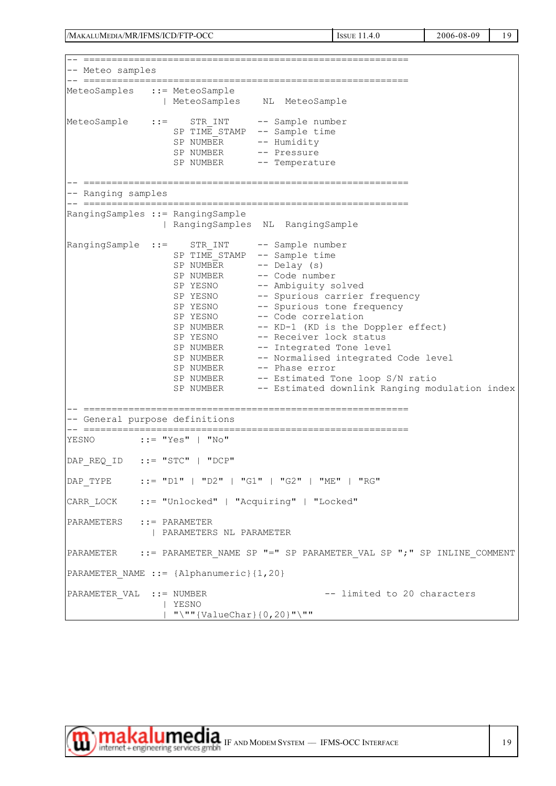/MAKALUMEDIA/MR/IFMS/ICD/FTP-OCC issue 11.4.0 2006-08-09 19

-- ========================================================== -- Meteo samples -- ========================================================== MeteoSamples ::= MeteoSample | MeteoSamples NL MeteoSample MeteoSample ::= STR\_INT -- Sample number SP TIME STAMP -- Sample time SP NUMBER -- Humidity SP NUMBER -- Pressure<br>SP NUMBER -- Temperat -- Temperature -- ========================================================== -- Ranging samples -- ========================================================== RangingSamples ::= RangingSample | RangingSamples NL RangingSample RangingSample ::= STR\_INT -- Sample number SP TIME STAMP -- Sample time  $SP NUMBER$  -- Delay (s) SP NUMBER -- Code number SP YESNO -- Ambiguity solved SP YESNO -- Spurious carrier frequency SP YESNO -- Spurious tone frequency SP YESNO -- Code correlation SP NUMBER -- KD-1 (KD is the Doppler effect)<br>SP YESNO -- Receiver lock status<br>SP NUMBER -- Integrated Tone level -- Receiver lock status SP NUMBER -- Integrated Tone level<br>SP NUMBER -- Normalised integrated -- Normalised integrated Code level SP NUMBER -- Phase error SP NUMBER -- Estimated Tone loop S/N ratio SP NUMBER -- Estimated downlink Ranging modulation index -- ========================================================== -- General purpose definitions -- ========================================================== YESNO ::= "Yes" | "No" DAP\_REQ\_ID ::= "STC" | "DCP" DAP\_TYPE ::= "D1" | "D2" | "G1" | "G2" | "ME" | "RG" CARR\_LOCK ::= "Unlocked" | "Acquiring" | "Locked" PARAMETERS ::= PARAMETER | PARAMETERS NL PARAMETER PARAMETER ::= PARAMETER NAME SP "=" SP PARAMETER VAL SP ";" SP INLINE COMMENT PARAMETER NAME ::= {Alphanumeric} {1,20} PARAMETER VAL ::= NUMBER -- limited to 20 characters | YESNO | "\""{ValueChar}{0,20}"\""

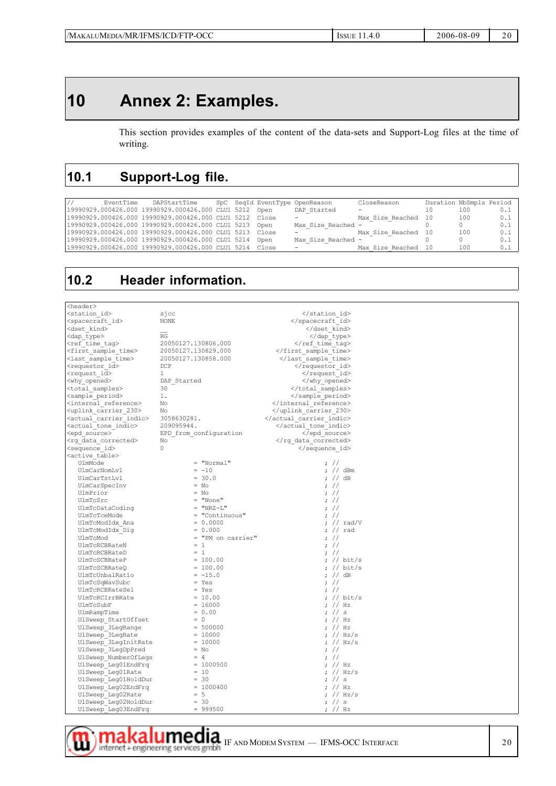## **10 Annex 2: Examples.**

This section provides examples of the content of the data-sets and Support-Log files at the time of writing.

### **10.1 Support-Log file.**

| EventTime | DAPStartTime                                            |  | SpC SeqId EventType OpenReason | CloseReason         | Duration NbSmpls Period |     |       |
|-----------|---------------------------------------------------------|--|--------------------------------|---------------------|-------------------------|-----|-------|
|           | 19990929.000426.000 19990929.000426.000 CLU1 5212 Open  |  | DAP Started                    | -                   | 10                      | 100 | 0.1   |
|           | 19990929.000426.000 19990929.000426.000 CLU1 5212 Close |  | -                              | Max Size Reached 10 |                         | 100 | $0.1$ |
|           | 19990929.000426.000 19990929.000426.000 CLU1 5213 Open  |  | Max Size Reached -             |                     |                         |     | $0.1$ |
|           | 19990929.000426.000 19990929.000426.000 CLU1 5213 Close |  | -                              | Max Size Reached 10 |                         | 100 | $0.1$ |
|           | 19990929.000426.000 19990929.000426.000 CLU1 5214 Open  |  | Max Size Reached -             |                     |                         |     | $0.1$ |
|           | 19990929.000426.000 19990929.000426.000 CLU1 5214 Close |  | $\overline{\phantom{0}}$       | Max Size Reached 10 |                         | 100 | 0.1   |

### **10.2 Header information.**

m

| <header></header>                     |                        |                               |  |
|---------------------------------------|------------------------|-------------------------------|--|
| <station id=""></station>             | sjcc                   |                               |  |
| <spacecraft id=""></spacecraft>       | <b>NONE</b>            |                               |  |
| <dset kind=""></dset>                 |                        |                               |  |
| <dap type=""></dap>                   | RG                     |                               |  |
| <ref tag="" time=""></ref>            | 20050127.130806.000    |                               |  |
| <first sample="" time=""></first>     | 20050127.130829.000    |                               |  |
| <last sample="" time=""></last>       | 20050127.130858.000    |                               |  |
| <requestor id=""></requestor>         | DCP                    |                               |  |
| <request id=""></request>             | 1                      |                               |  |
| <why opened=""></why>                 | DAP Started            |                               |  |
| <total samples=""></total>            | 30                     |                               |  |
| <sample period=""></sample>           | 1.                     |                               |  |
| <internal reference=""></internal>    | No                     |                               |  |
| <uplink 230="" carrier=""></uplink>   | No                     |                               |  |
| <actual carrier="" indic=""></actual> | 3058630281.            |                               |  |
| <actual indic="" tone=""></actual>    | 209095944.             |                               |  |
| <epd source=""></epd>                 | EPD from configuration |                               |  |
| <rg corrected="" data=""></rg>        | No                     |                               |  |
| <sequence id=""></sequence>           | 0                      |                               |  |
| <active table=""></active>            |                        |                               |  |
| UlmMode                               | $=$ "Normal"           | $\frac{1}{2}$                 |  |
| UlmCarNomLvl                          | $= -10$                | $\frac{1}{2}$ // dBm          |  |
| UlmCarTstLvl                          | $= 30.0$               | ; $//$ dB                     |  |
| UlmCarSpecInv                         | $= NO$                 | $\frac{1}{2}$                 |  |
| UlmPrior                              | $= NO$                 | $\frac{1}{2}$                 |  |
| UlmTcSrc                              | $=$ "None"             | $\frac{1}{2}$                 |  |
| UlmTcDataCoding                       | $=$ "NRZ-L"            | $\frac{1}{2}$                 |  |
| UlmTcTceMode                          | $=$ "Continuous"       | $\frac{1}{2}$                 |  |
|                                       | $= 0.0000$             | $\frac{1}{\sqrt{2}}$ // rad/V |  |
| UlmTcModIdx Ana                       | $= 0.000$              |                               |  |
| UlmTcModIdx Diq                       |                        | ; $//$ rad<br>$\frac{1}{2}$   |  |
| UlmTcMod                              | = "PM on carrier"      |                               |  |
| UlmTcRCBRateN                         | $= 1$                  | $\frac{1}{2}$                 |  |
| UlmTcRCBRateD                         | $= 1$                  | $\frac{1}{2}$                 |  |
| UlmTcSCBRateP                         | $= 100.00$             | ; $//$ bit/s                  |  |
| UlmTcSCBRateQ                         | $= 100.00$             | ; // bit/s                    |  |
| UlmTcUnbalRatio                       | $= -15.0$              | ; // dB                       |  |
| UlmTcSqWavSubc                        | $=$ Yes                | $:$ //                        |  |
| UlmTcRCBRateSel                       | $=$ Yes                | $\frac{1}{2}$                 |  |
| UlmTcRCIrrBRate                       | $= 10.00$              | ; // bit/s                    |  |
| UlmTcSubF                             | $= 16000$              | $\frac{1}{2}$ // Hz           |  |
| UlmRampTime                           | $= 0.00$               | : //s                         |  |
| UlSweep StartOffset                   | $= 0$                  | ; $//$ Hz                     |  |
| UlSweep 3LegRange                     | $= 500000$             | $\frac{1}{2}$ // Hz           |  |
| UlSweep 3LegRate                      | $= 10000$              | ; $// Hz/s$                   |  |
| UlSweep 3LegInitRate                  | $= 10000$              | ; $// Hz/s$                   |  |
| UlSweep 3LegDpPred                    | $= NO$                 | $: \#$                        |  |
| UlSweep NumberOfLegs                  | $= 4$                  | $\frac{1}{2}$                 |  |
| UlSweep Leg01EndFrq                   | $= 1000500$            | ; $//$ Hz                     |  |
| UlSweep Leg01Rate                     | $= 10$                 | ; $// Hz/s$                   |  |
| UlSweep Leg01HoldDur                  | $= 30$                 | ; $//$ s                      |  |
| UlSweep Leg02EndFrq                   | $= 1000400$            | ; $//$ Hz                     |  |
| UlSweep Leg02Rate                     | $= 5$                  | ; $//$ Hz/s                   |  |
| UlSweep Leg02HoldDur                  | $= 30$                 | ; $//$ s                      |  |
| UlSweep Leg03EndFrq                   | $= 999500$             | 7 / Hz                        |  |

IT AKAI UMECIA IF AND MODEM SYSTEM — IFMS-OCC INTERFACE 20<br>internet + engineering services gmbh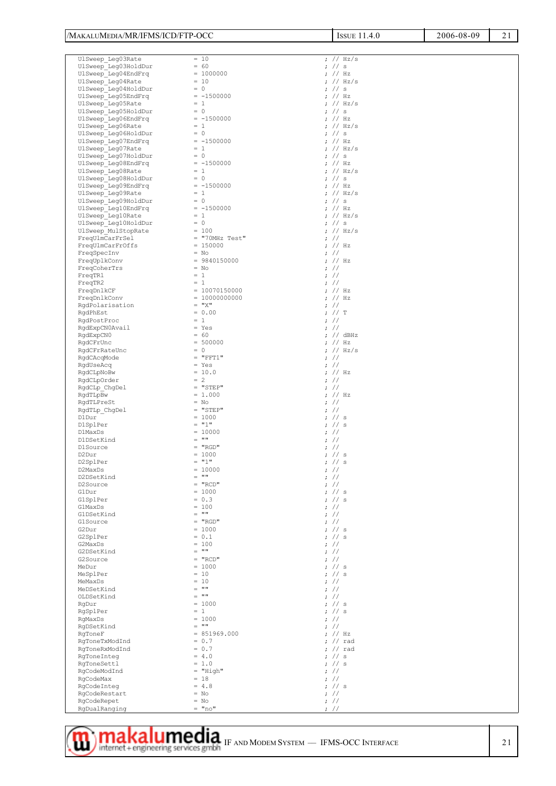| /MAKALUMEDIA/MR/IFMS/ICD/FTP-OCC            |                             | <b>ISSUE 11.4.0</b>               | 21<br>2006-08-09 |
|---------------------------------------------|-----------------------------|-----------------------------------|------------------|
|                                             |                             |                                   |                  |
| UlSweep Leg03Rate                           | $= 10$                      | ; $// Hz/s$                       |                  |
| UlSweep Leg03HoldDur                        | $= 60$                      | 7 / 5                             |                  |
| UlSweep Leg04EndFrq                         | $= 1000000$                 | 7 / Hz                            |                  |
| UlSweep Leg04Rate                           | $= 10$                      | : // Hz/s                         |                  |
| UlSweep Leg04HoldDur<br>UlSweep Leg05EndFrq | $= 0$<br>$= -1500000$       | $\frac{1}{2}$ // s<br>7 / Hz      |                  |
| UlSweep Leg05Rate                           | $= 1$                       | ; $// Hz/s$                       |                  |
| UlSweep Leg05HoldDur                        | $= 0$                       | $\frac{1}{2}$ // s                |                  |
| UlSweep Leg06EndFrq                         | $= -1500000$                | 7 / Hz                            |                  |
| UlSweep Leg06Rate<br>UlSweep Leg06HoldDur   | $= 1$<br>$= 0$              | ; $// Hz/s$<br>$\frac{1}{2}$ // s |                  |
| UlSweep Leg07EndFrq                         | $= -1500000$                | 7 / Hz                            |                  |
| UlSweep Leg07Rate                           | $= 1$                       | ; $// Hz/s$                       |                  |
| UlSweep Leg07HoldDur                        | $= 0$                       | $\frac{1}{2}$ // s                |                  |
| UlSweep Leg08EndFrq<br>UlSweep Leg08Rate    | $= -1500000$<br>$= 1$       | 7 / Hz<br>; $// Hz/s$             |                  |
| UlSweep Leg08HoldDur                        | $= 0$                       | $\frac{1}{2}$ // s                |                  |
| UlSweep_Leg09EndFrq                         | $= -1500000$                | 7 / Hz                            |                  |
| UlSweep Leg09Rate                           | $= 1$                       | ; $// Hz/s$                       |                  |
| UlSweep Leg09HoldDur<br>UlSweep_Leg10EndFrq | $= 0$<br>$= -1500000$       | 7 / 5<br>7 / Hz                   |                  |
| UlSweep Leg10Rate                           | $= 1$                       | ; $// Hz/s$                       |                  |
| UlSweep Leg10HoldDur                        | $= 0$                       | $\frac{1}{2}$ // s                |                  |
| UlSweep MulStopRate                         | $= 100$<br>$=$ "70MHz Test" | ; $// Hz/s$<br>$\frac{1}{2}$      |                  |
| FreqUlmCarFrSel<br>FreqUlmCarFrOffs         | $= 150000$                  | 7 / Hz                            |                  |
| FreqSpecInv                                 | $= NO$                      | $\frac{1}{2}$                     |                  |
| FreqUplkConv                                | $= 9840150000$              | 7 / Hz                            |                  |
| FreqCoherTrs<br>FreqTR1                     | $= NO$<br>$= 1$             | $\frac{1}{2}$<br>$\frac{1}{2}$    |                  |
| FreqTR2                                     | $= 1$                       | $\frac{1}{2}$                     |                  |
| FreqDnlkCF                                  | $= 10070150000$             | 7 / Hz                            |                  |
| FreqDnlkConv                                | $= 100000000000$            | 7 / Hz                            |                  |
| RgdPolarisation<br>RqdPhEst                 | $=$ " $X$ "<br>$= 0.00$     | $\frac{1}{2}$<br>7 / T            |                  |
| RqdPostProc                                 | $= 1$                       | $\frac{1}{2}$                     |                  |
| RgdExpCN0Avail                              | $=$ Yes                     | $: \mathcal{U}$                   |                  |
| RqdExpCN0<br>RqdCFrUnc                      | $= 60$<br>$= 500000$        | ; $//$ dBHz<br>7 / Hz             |                  |
| RgdCFrRateUnc                               | $= 0$                       | ; $// Hz/s$                       |                  |
| RqdCAcqMode                                 | $=$ "FFT1"                  | $:$ //                            |                  |
| RqdUseAcq                                   | $=$ Yes                     | $\frac{1}{2}$                     |                  |
| RgdCLpNoBw<br>RqdCLpOrder                   | $= 10.0$<br>$= 2$           | 7 / Hz<br>$\frac{1}{2}$           |                  |
| RgdCLp ChgDel                               | $=$ "STEP"                  | $\frac{1}{2}$                     |                  |
| RgdTLpBw                                    | $= 1.000$                   | 7 / Hz                            |                  |
| RqdTLPreSt<br>RgdTLp ChgDel                 | $= NO$<br>$=$ "STEP"        | $\frac{1}{2}$<br>$\frac{1}{2}$    |                  |
| D1Dur                                       | $= 1000$                    | $:$ // s                          |                  |
| D1SplPer                                    | $=$ "1"                     | 7 / 5                             |                  |
| D1MaxDs<br>D1DSetKind                       | $= 10000$<br>$=$ ""         | $\frac{1}{2}$<br>$\frac{1}{2}$    |                  |
| D1Source                                    | $=$ "RGD"                   | $:$ //                            |                  |
| D2Dur                                       | $= 1000$                    | ; $//$ s                          |                  |
| D2SplPer                                    | $= "1"$<br>$= 10000$        | $:$ // s                          |                  |
| D2MaxDs<br>D2DSetKind                       | $=$ ""                      | $: \mathcal{U}$<br>$\frac{1}{2}$  |                  |
| D2Source                                    | $= "RCD"$                   | $\frac{1}{2}$                     |                  |
| G1Dur                                       | $= 1000$                    | 7 / 5                             |                  |
| GlSplPer<br>GlMaxDs                         | $= 0.3$<br>$= 100$          | 7 / 5<br>$\frac{1}{2}$            |                  |
| G1DSetKind                                  | $=$ ""                      | $\frac{1}{2}$                     |                  |
| G1Source                                    | $= "RGD"$                   | $: \mathcal{U}$                   |                  |
| G2Dur                                       | $= 1000$<br>$= 0.1$         | $:$ // s<br>7 / 5                 |                  |
| G2SplPer<br>G2MaxDs                         | $= 100$                     | $: \mathcal{U}$                   |                  |
| G2DSetKind                                  | $=$ ""                      | $\frac{1}{2}$                     |                  |
| G2Source<br>MeDur                           | $= "RCD"$<br>$= 1000$       | $\frac{1}{2}$<br>7 / 5            |                  |
| MeSplPer                                    | $= 10$                      | 7 / 5                             |                  |
| MeMaxDs                                     | $= 10$                      | $\frac{1}{2}$                     |                  |
| MeDSetKind                                  | $=$ ""<br>$=$ ""            | $\frac{1}{2}$                     |                  |
| OLDSetKind<br>RqDur                         | $= 1000$                    | $\frac{1}{2}$<br>7 / 5            |                  |
| RgSplPer                                    | $= 1$                       | 7 / 5                             |                  |
| RqMaxDs                                     | $= 1000$                    | $\frac{1}{2}$                     |                  |
| RqDSetKind<br>RqToneF                       | $=$ ""<br>$= 851969.000$    | $\frac{1}{2}$<br>; $//$ Hz        |                  |
| RgToneTxModInd                              | $= 0.7$                     | $7 / r$ ad                        |                  |
| RqToneRxModInd                              | $= 0.7$                     | $7 / r$ ad                        |                  |
| RqToneInteq<br>RqToneSettl                  | $= 4.0$<br>$= 1.0$          | 7 / 5<br>7 / 5                    |                  |
| RqCodeModInd                                | $=$ "High"                  | $\frac{1}{2}$                     |                  |
| RgCodeMax                                   | $= 18$                      | $: \mathcal{U}$                   |                  |
| RgCodeInteg<br>RgCodeRestart                | $= 4.8$<br>$=$ No           | 7 / 5                             |                  |
| RgCodeRepet                                 | $= NO$                      | $\frac{1}{2}$<br>$:$ //           |                  |
| RgDualRanging                               | $=$ "no"                    | $\frac{1}{2}$                     |                  |

## **IMPROVISHED MODEL STAND MODEL SYSTEM** – IFMS-OCC INTERFACE 21<br>
and internet+engineering services gmbh F AND MODEM SYSTEM – IFMS-OCC INTERFACE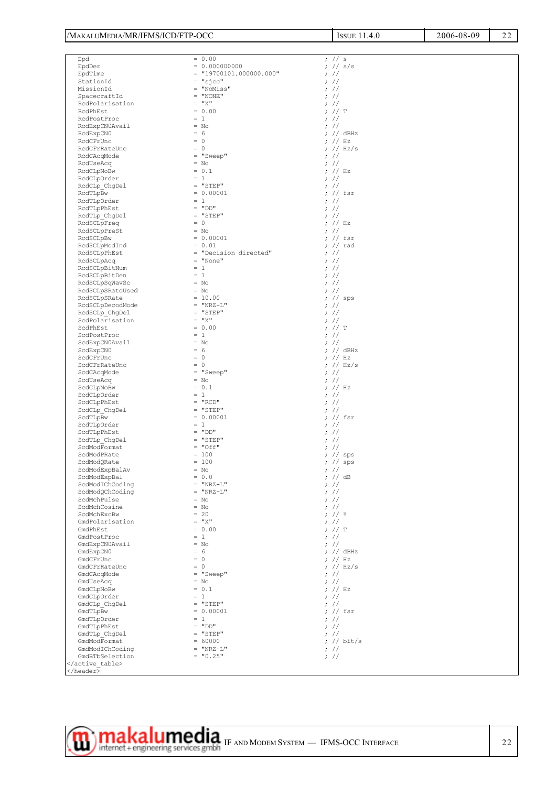| /MAKALUMEDIA/MR/IFMS/ICD/FTP-OCC   |                            | <b>ISSUE 11.4.0</b>                | 2006-08-09 |  |  |
|------------------------------------|----------------------------|------------------------------------|------------|--|--|
|                                    |                            |                                    |            |  |  |
| Epd                                | $= 0.00$                   | $:$ // s                           |            |  |  |
| EpdDer                             | $= 0.000000000$            | 7 / / s/s                          |            |  |  |
| EpdTime                            | $= "19700101.000000.000"$  | $\frac{1}{2}$                      |            |  |  |
| StationId                          | $= "sjcc"$                 | $:$ //                             |            |  |  |
| MissionId                          | = "NoMiss"                 | $\frac{1}{2}$                      |            |  |  |
| SpacecraftId                       | $=$ "NONE"                 | $:$ //                             |            |  |  |
| RcdPolarisation                    | $=$ " $X$ "                | $:$ //                             |            |  |  |
| RcdPhEst                           | $= 0.00$                   | 7 / T                              |            |  |  |
| RcdPostProc                        | $= 1$                      | $:$ //                             |            |  |  |
| RcdExpCN0Avail<br>RcdExpCN0        | $= NO$<br>$= 6$            | $:$ //<br>; $//$ dBHz              |            |  |  |
| RcdCFrUnc                          | $= 0$                      | 7 / Hz                             |            |  |  |
| RcdCFrRateUnc                      | $= 0$                      | ; $// Hz/s$                        |            |  |  |
| RcdCAcqMode                        | $= "Sweep"$                | $\frac{1}{2}$                      |            |  |  |
| RcdUseAcq                          | $= NO$                     | $:$ //                             |            |  |  |
| RcdCLpNoBw                         | $= 0.1$                    | ; $//$ Hz                          |            |  |  |
| RcdCLpOrder                        | $= 1$                      | $\frac{1}{2}$                      |            |  |  |
| RcdCLp ChgDel                      | $=$ "STEP"                 | $:$ //                             |            |  |  |
| RcdTLpBw                           | $= 0.00001$                | ; $//$ fsr                         |            |  |  |
| RcdTLpOrder                        | $= 1$                      | $\frac{1}{2}$                      |            |  |  |
| RcdTLpPhEst                        | $=$ "DD"<br>$=$ "STEP"     | $:$ //<br>$:$ //                   |            |  |  |
| RcdTLp ChgDel<br>RcdSCLpFreq       | $= 0$                      | ; $//$ Hz                          |            |  |  |
| RcdSCLpPreSt                       | $= NO$                     | $\frac{1}{2}$                      |            |  |  |
| RcdSCLpBw                          | $= 0.00001$                | ; $//$ fsr                         |            |  |  |
| RcdSCLpModInd                      | $= 0.01$                   | ; $//$ rad                         |            |  |  |
| RcdSCLpPhEst                       | = "Decision directed"      | $: \mathcal{U}$                    |            |  |  |
| RcdSCLpAcq                         | $=$ "None"                 | $\frac{1}{2}$                      |            |  |  |
| RcdSCLpBitNum                      | $= 1$                      | $\frac{1}{2}$                      |            |  |  |
| RcdSCLpBitDen                      | $= 1$                      | $:$ //                             |            |  |  |
| RcdSCLpSqWavSc                     | $= NO$                     | $\frac{1}{2}$                      |            |  |  |
| RcdSCLpSRateUsed                   | $= NO$<br>$= 10.00$        | $\frac{1}{2}$<br>$7 /$ sps         |            |  |  |
| RcdSCLpSRate<br>RcdSCLpDecodMode   | $=$ "NRZ-L"                | $\frac{1}{2}$                      |            |  |  |
| RcdSCLp_ChgDel                     | $=$ "STEP"                 | $\frac{1}{2}$                      |            |  |  |
| ScdPolarisation                    | $=$ " $X$ "                | $:$ //                             |            |  |  |
| ScdPhEst                           | $= 0.00$                   | ; // T                             |            |  |  |
| ScdPostProc                        | $= 1$                      | $\frac{1}{2}$                      |            |  |  |
| ScdExpCN0Avail                     | $= NO$                     | $:$ //                             |            |  |  |
| ScdExpCN0                          | $= 6$                      | ; $//$ dBHz                        |            |  |  |
| ScdCFrUnc<br>ScdCFrRateUnc         | $= 0$<br>$= 0$             | $\frac{1}{2}$ // Hz<br>; $// Hz/s$ |            |  |  |
| ScdCAcqMode                        | $= "Sweep"$                | $\frac{1}{2}$                      |            |  |  |
| ScdUseAcq                          | $= NO$                     | $\frac{1}{2}$                      |            |  |  |
| ScdCLpNoBw                         | $= 0.1$                    | ; $//$ Hz                          |            |  |  |
| ScdCLpOrder                        | $= 1$                      | $\frac{1}{2}$                      |            |  |  |
| ScdCLpPhEst                        | $= "RCD"$                  | $\frac{1}{2}$                      |            |  |  |
| ScdCLp ChgDel                      | $=$ "STEP"                 | $: \mathcal{U}$                    |            |  |  |
| ScdTLpBw                           | $= 0.00001$<br>$= 1$       | ; // fsr<br>$\frac{1}{2}$          |            |  |  |
| ScdTLpOrder<br>ScdTLpPhEst         | $=$ "DD"                   | $:$ //                             |            |  |  |
| ScdTLp ChgDel                      | $=$ "STEP"                 | $\frac{1}{2}$                      |            |  |  |
| ScdModFormat                       | $= "Off"$                  | $\boldsymbol{.}$ //                |            |  |  |
| ScdModPRate                        | $= 100$                    | ; // sps                           |            |  |  |
| ScdModQRate                        | $= 100$                    | ; $//$ sps                         |            |  |  |
| ScdModExpBalAv                     | $= NO$                     | $: \#$                             |            |  |  |
| ScdModExpBal                       | $= 0.0$                    | ; $//$ dB                          |            |  |  |
| ScdModIChCoding<br>ScdModQChCoding | $=$ "NRZ-L"<br>$=$ "NRZ-L" | $\frac{1}{2}$<br>$\frac{1}{2}$     |            |  |  |
| ScdMchPulse                        | $= NO$                     | $:$ //                             |            |  |  |
| ScdMchCosine                       | $= NO$                     | $\frac{1}{2}$                      |            |  |  |
| ScdMchExcBw                        | $= 20$                     | ; $11$ %                           |            |  |  |
| GmdPolarisation                    | $=$ " $X$ "                | $:$ //                             |            |  |  |
| GmdPhEst                           | $= 0.00$                   | 7 / T                              |            |  |  |
| GmdPostProc                        | $= 1$                      | $\frac{1}{2}$                      |            |  |  |
| GmdExpCN0Avail<br>GmdExpCN0        | $= NO$<br>$= 6$            | $:$ //<br>; $//$ dBHz              |            |  |  |
| GmdCFrUnc                          | $= 0$                      | ; $//$ Hz                          |            |  |  |
| GmdCFrRateUnc                      | $= 0$                      | ; $// Hz/s$                        |            |  |  |
| GmdCAcqMode                        | $= "Sweep"$                | $\frac{1}{2}$                      |            |  |  |
| GmdUseAcq                          | $=$ No                     | $\frac{1}{2}$                      |            |  |  |
| GmdCLpNoBw                         | $= 0.1$                    | ; $//$ Hz                          |            |  |  |
| GmdCLpOrder                        | $= 1$                      | $\frac{1}{2}$                      |            |  |  |
| GmdCLp ChgDel<br>GmdTLpBw          | $=$ "STEP"<br>$= 0.00001$  | $\frac{1}{2}$<br>; $//$ fsr        |            |  |  |
| GmdTLpOrder                        | $= 1$                      | $\frac{1}{2}$                      |            |  |  |
| GmdTLpPhEst                        | $=$ "DD"                   | $\frac{1}{2}$                      |            |  |  |
| GmdTLp ChgDel                      | $=$ "STEP"                 | $: \mathcal{U}$                    |            |  |  |
| GmdModFormat                       | $= 60000$                  | ; // bit/s                         |            |  |  |
| GmdModIChCoding                    | $=$ "NRZ-L"                | $\frac{1}{2}$                      |            |  |  |
| GmdBTbSelection                    | $= "0.25"$                 | $\boldsymbol{.}$ //                |            |  |  |
| <br>                               |                            |                                    |            |  |  |
|                                    |                            |                                    |            |  |  |